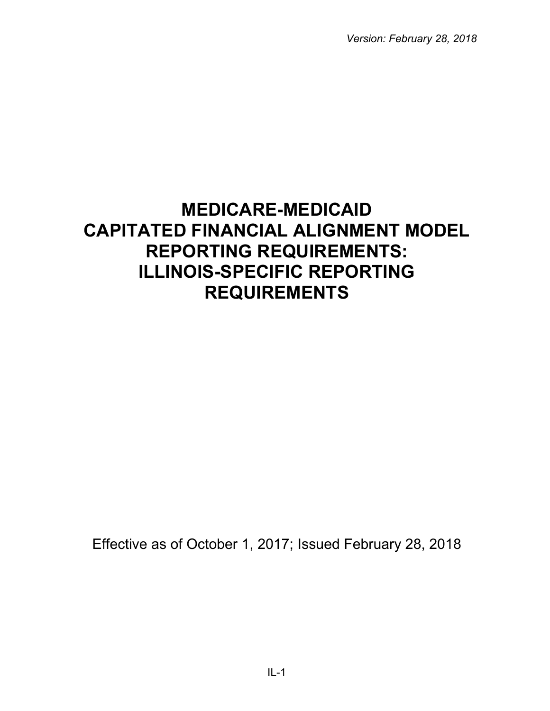*Version: February 28, 2018*

# **MEDICARE-MEDICAID CAPITATED FINANCIAL ALIGNMENT MODEL REPORTING REQUIREMENTS: ILLINOIS-SPECIFIC REPORTING REQUIREMENTS**

Effective as of October 1, 2017; Issued February 28, 2018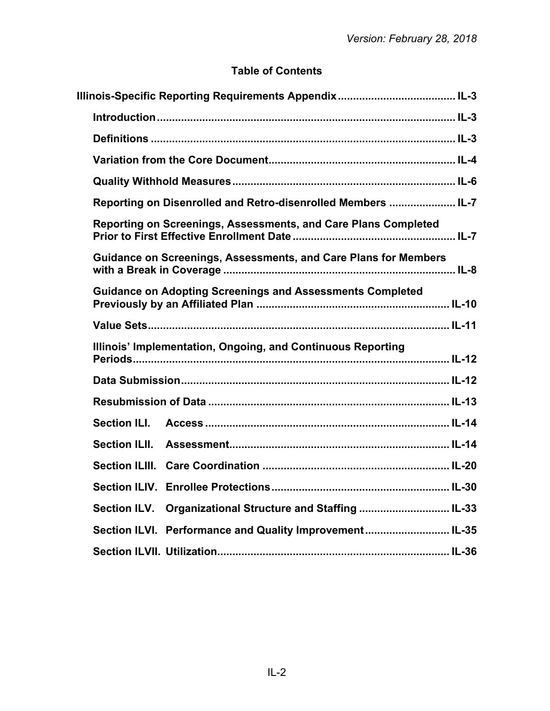# **Table of Contents**

|                     | Definitions ………………………………………………………………………………………… IL-3              |  |
|---------------------|------------------------------------------------------------------|--|
|                     |                                                                  |  |
|                     |                                                                  |  |
|                     | Reporting on Disenrolled and Retro-disenrolled Members  IL-7     |  |
|                     | Reporting on Screenings, Assessments, and Care Plans Completed   |  |
|                     | Guidance on Screenings, Assessments, and Care Plans for Members  |  |
|                     | <b>Guidance on Adopting Screenings and Assessments Completed</b> |  |
|                     |                                                                  |  |
|                     | Illinois' Implementation, Ongoing, and Continuous Reporting      |  |
|                     |                                                                  |  |
|                     |                                                                  |  |
| <b>Section ILI.</b> |                                                                  |  |
|                     |                                                                  |  |
|                     |                                                                  |  |
|                     |                                                                  |  |
| <b>Section ILV.</b> | Organizational Structure and Staffing  IL-33                     |  |
|                     | Section ILVI. Performance and Quality Improvement IL-35          |  |
|                     |                                                                  |  |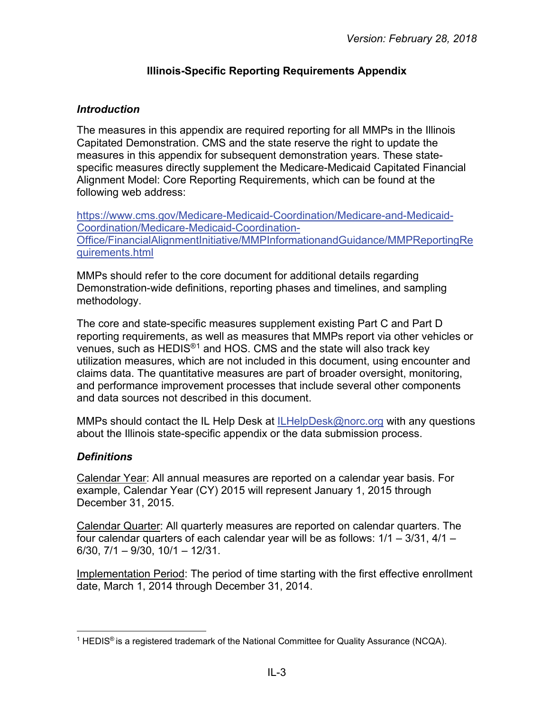## **Illinois-Specific Reporting Requirements Appendix**

## <span id="page-2-1"></span><span id="page-2-0"></span>*Introduction*

The measures in this appendix are required reporting for all MMPs in the Illinois Capitated Demonstration. CMS and the state reserve the right to update the measures in this appendix for subsequent demonstration years. These statespecific measures directly supplement the Medicare-Medicaid Capitated Financial Alignment Model: Core Reporting Requirements, which can be found at the following web address:

[https://www.cms.gov/Medicare-Medicaid-Coordination/Medicare-and-Medicaid-](https://www.cms.gov/Medicare-Medicaid-Coordination/Medicare-and-Medicaid-Coordination/Medicare-Medicaid-Coordination-Office/FinancialAlignmentInitiative/MMPInformationandGuidance/MMPReportingRequirements.html)[Coordination/Medicare-Medicaid-Coordination-](https://www.cms.gov/Medicare-Medicaid-Coordination/Medicare-and-Medicaid-Coordination/Medicare-Medicaid-Coordination-Office/FinancialAlignmentInitiative/MMPInformationandGuidance/MMPReportingRequirements.html)[Office/FinancialAlignmentInitiative/MMPInformationandGuidance/MMPReportingRe](https://www.cms.gov/Medicare-Medicaid-Coordination/Medicare-and-Medicaid-Coordination/Medicare-Medicaid-Coordination-Office/FinancialAlignmentInitiative/MMPInformationandGuidance/MMPReportingRequirements.html) [quirements.html](https://www.cms.gov/Medicare-Medicaid-Coordination/Medicare-and-Medicaid-Coordination/Medicare-Medicaid-Coordination-Office/FinancialAlignmentInitiative/MMPInformationandGuidance/MMPReportingRequirements.html) 

MMPs should refer to the core document for additional details regarding Demonstration-wide definitions, reporting phases and timelines, and sampling methodology.

The core and state-specific measures supplement existing Part C and Part D reporting requirements, as well as measures that MMPs report via other vehicles or venues, such as HEDIS®[1](#page-2-3) and HOS. CMS and the state will also track key utilization measures, which are not included in this document, using encounter and claims data. The quantitative measures are part of broader oversight, monitoring, and performance improvement processes that include several other components and data sources not described in this document.

MMPs should contact the IL Help Desk at [ILHelpDesk@norc.org](mailto:ILHelpDesk@norc.org) with any questions about the Illinois state-specific appendix or the data submission process.

## <span id="page-2-2"></span>*Definitions*

Calendar Year: All annual measures are reported on a calendar year basis. For example, Calendar Year (CY) 2015 will represent January 1, 2015 through December 31, 2015.

Calendar Quarter: All quarterly measures are reported on calendar quarters. The four calendar quarters of each calendar year will be as follows: 1/1 – 3/31, 4/1 – 6/30, 7/1 – 9/30, 10/1 – 12/31.

Implementation Period: The period of time starting with the first effective enrollment date, March 1, 2014 through December 31, 2014.

<span id="page-2-3"></span><sup>&</sup>lt;sup>1</sup> HEDIS<sup>®</sup> is a registered trademark of the National Committee for Quality Assurance (NCQA).  $\overline{a}$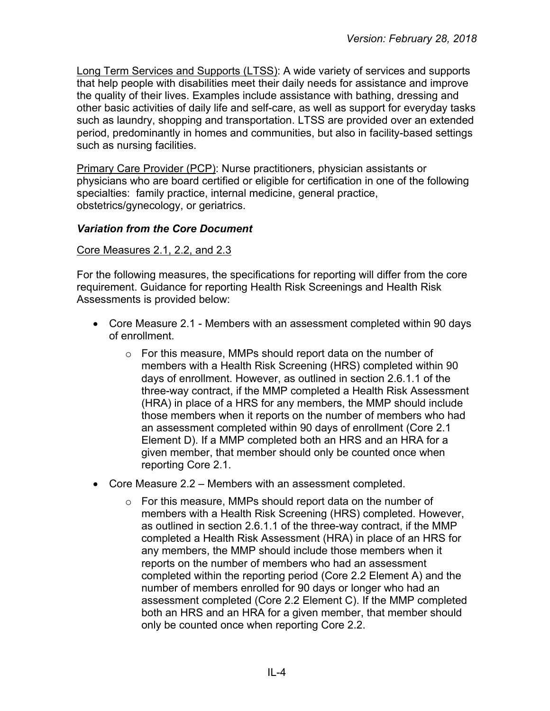Long Term Services and Supports (LTSS): A wide variety of services and supports that help people with disabilities meet their daily needs for assistance and improve the quality of their lives. Examples include assistance with bathing, dressing and other basic activities of daily life and self-care, as well as support for everyday tasks such as laundry, shopping and transportation. LTSS are provided over an extended period, predominantly in homes and communities, but also in facility-based settings such as nursing facilities.

Primary Care Provider (PCP): Nurse practitioners, physician assistants or physicians who are board certified or eligible for certification in one of the following specialties: family practice, internal medicine, general practice, obstetrics/gynecology, or geriatrics.

## <span id="page-3-0"></span>*Variation from the Core Document*

#### Core Measures 2.1, 2.2, and 2.3

For the following measures, the specifications for reporting will differ from the core requirement. Guidance for reporting Health Risk Screenings and Health Risk Assessments is provided below:

- Core Measure 2.1 Members with an assessment completed within 90 days of enrollment.
	- o For this measure, MMPs should report data on the number of members with a Health Risk Screening (HRS) completed within 90 days of enrollment. However, as outlined in section 2.6.1.1 of the three-way contract, if the MMP completed a Health Risk Assessment (HRA) in place of a HRS for any members, the MMP should include those members when it reports on the number of members who had an assessment completed within 90 days of enrollment (Core 2.1 Element D). If a MMP completed both an HRS and an HRA for a given member, that member should only be counted once when reporting Core 2.1.
- Core Measure 2.2 Members with an assessment completed.
	- o For this measure, MMPs should report data on the number of members with a Health Risk Screening (HRS) completed. However, as outlined in section 2.6.1.1 of the three-way contract, if the MMP completed a Health Risk Assessment (HRA) in place of an HRS for any members, the MMP should include those members when it reports on the number of members who had an assessment completed within the reporting period (Core 2.2 Element A) and the number of members enrolled for 90 days or longer who had an assessment completed (Core 2.2 Element C). If the MMP completed both an HRS and an HRA for a given member, that member should only be counted once when reporting Core 2.2.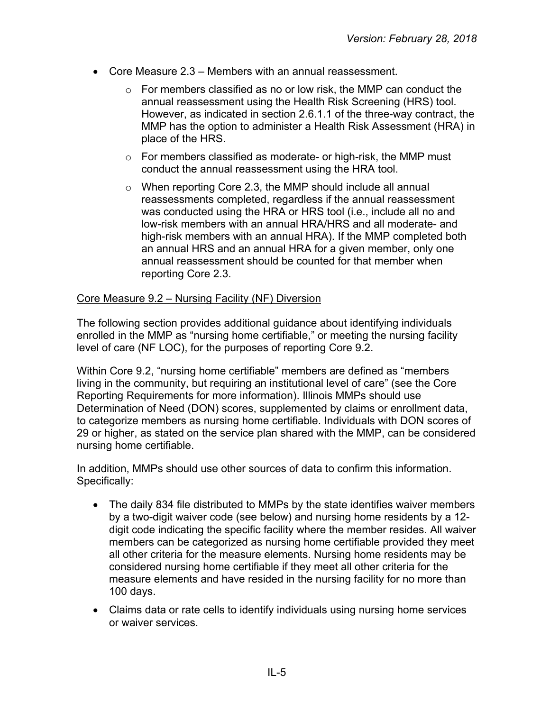- Core Measure 2.3 Members with an annual reassessment.
	- o For members classified as no or low risk, the MMP can conduct the annual reassessment using the Health Risk Screening (HRS) tool. However, as indicated in section 2.6.1.1 of the three-way contract, the MMP has the option to administer a Health Risk Assessment (HRA) in place of the HRS.
	- o For members classified as moderate- or high-risk, the MMP must conduct the annual reassessment using the HRA tool.
	- o When reporting Core 2.3, the MMP should include all annual reassessments completed, regardless if the annual reassessment was conducted using the HRA or HRS tool (i.e., include all no and low-risk members with an annual HRA/HRS and all moderate- and high-risk members with an annual HRA). If the MMP completed both an annual HRS and an annual HRA for a given member, only one annual reassessment should be counted for that member when reporting Core 2.3.

#### Core Measure 9.2 – Nursing Facility (NF) Diversion

The following section provides additional guidance about identifying individuals enrolled in the MMP as "nursing home certifiable," or meeting the nursing facility level of care (NF LOC), for the purposes of reporting Core 9.2.

Within Core 9.2, "nursing home certifiable" members are defined as "members living in the community, but requiring an institutional level of care" (see the Core Reporting Requirements for more information). Illinois MMPs should use Determination of Need (DON) scores, supplemented by claims or enrollment data, to categorize members as nursing home certifiable. Individuals with DON scores of 29 or higher, as stated on the service plan shared with the MMP, can be considered nursing home certifiable.

In addition, MMPs should use other sources of data to confirm this information. Specifically:

- The daily 834 file distributed to MMPs by the state identifies waiver members by a two-digit waiver code (see below) and nursing home residents by a 12 digit code indicating the specific facility where the member resides. All waiver members can be categorized as nursing home certifiable provided they meet all other criteria for the measure elements. Nursing home residents may be considered nursing home certifiable if they meet all other criteria for the measure elements and have resided in the nursing facility for no more than 100 days.
- Claims data or rate cells to identify individuals using nursing home services or waiver services.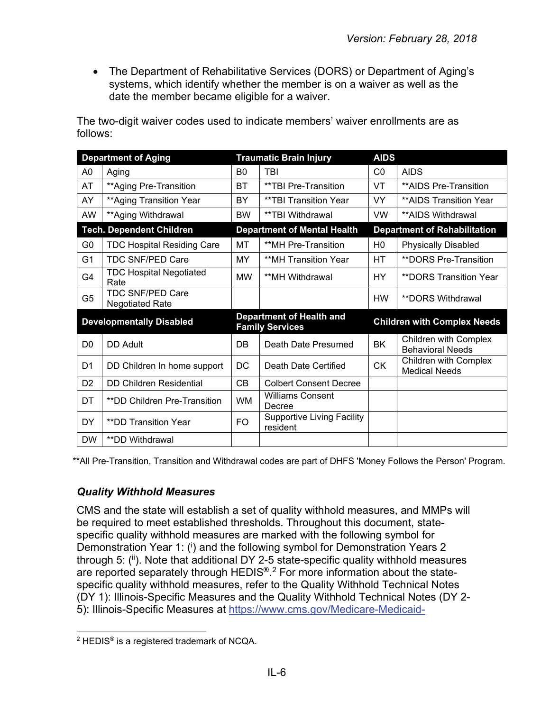• The Department of Rehabilitative Services (DORS) or Department of Aging's systems, which identify whether the member is on a waiver as well as the date the member became eligible for a waiver.

The two-digit waiver codes used to indicate members' waiver enrollments are as follows:

| <b>Department of Aging</b> |                                                   | <b>Traumatic Brain Injury</b> |                                                           | <b>AIDS</b>    |                                                         |
|----------------------------|---------------------------------------------------|-------------------------------|-----------------------------------------------------------|----------------|---------------------------------------------------------|
| A0                         | Aging                                             | B <sub>0</sub>                | TBI<br>CO                                                 |                | <b>AIDS</b>                                             |
| AT                         | ** Aging Pre-Transition                           | <b>BT</b>                     | **TBI Pre-Transition                                      | VT             | **AIDS Pre-Transition                                   |
| AY                         | **Aging Transition Year                           | BY                            | **TBI Transition Year                                     | VY.            | **AIDS Transition Year                                  |
| AW                         | ** Aging Withdrawal                               | <b>BW</b>                     | **TBI Withdrawal                                          | <b>VW</b>      | **AIDS Withdrawal                                       |
|                            | <b>Tech. Dependent Children</b>                   |                               | <b>Department of Mental Health</b>                        |                | <b>Department of Rehabilitation</b>                     |
| G <sub>0</sub>             | <b>TDC Hospital Residing Care</b>                 | MT                            | **MH Pre-Transition                                       | H <sub>0</sub> | <b>Physically Disabled</b>                              |
| G1                         | <b>TDC SNF/PED Care</b>                           | MY.                           | **MH Transition Year                                      | HТ             | <b>**DORS Pre-Transition</b>                            |
| G4                         | <b>TDC Hospital Negotiated</b><br>Rate            | <b>MW</b>                     | **MH Withdrawal                                           | HY.            | <b>**DORS Transition Year</b>                           |
| G <sub>5</sub>             | <b>TDC SNF/PED Care</b><br><b>Negotiated Rate</b> |                               |                                                           | <b>HW</b>      | **DORS Withdrawal                                       |
|                            | <b>Developmentally Disabled</b>                   |                               | <b>Department of Health and</b><br><b>Family Services</b> |                | <b>Children with Complex Needs</b>                      |
| D <sub>0</sub>             | DD Adult                                          | DB                            | Death Date Presumed                                       | <b>BK</b>      | <b>Children with Complex</b><br><b>Behavioral Needs</b> |
|                            |                                                   |                               |                                                           |                |                                                         |
| D <sub>1</sub>             | DD Children In home support                       | DC                            | Death Date Certified                                      | <b>CK</b>      | <b>Children with Complex</b><br><b>Medical Needs</b>    |
| D <sub>2</sub>             | <b>DD Children Residential</b>                    | CB                            | <b>Colbert Consent Decree</b>                             |                |                                                         |
| DT                         | **DD Children Pre-Transition                      | <b>WM</b>                     | <b>Williams Consent</b><br>Decree                         |                |                                                         |
| DY                         | <b>**DD Transition Year</b>                       | F <sub>O</sub>                | <b>Supportive Living Facility</b><br>resident             |                |                                                         |

<span id="page-5-0"></span>\*\*All Pre-Transition, Transition and Withdrawal codes are part of DHFS 'Money Follows the Person' Program.

#### *Quality Withhold Measures*

CMS and the state will establish a set of quality withhold measures, and MMPs will be required to meet established thresholds. Throughout this document, statespecific quality withhold measures are marked with the following symbol for Demonstration Year 1: (i) and the following symbol for Demonstration Years 2 through 5: (ii). Note that additional DY 2-5 state-specific quality withhold measures are reported separately through HEDIS®.<sup>[2](#page-5-1)</sup> For more information about the statespecific quality withhold measures, refer to the Quality Withhold Technical Notes (DY 1): Illinois-Specific Measures and the Quality Withhold Technical Notes (DY 2- 5): Illinois-Specific Measures at [https://www.cms.gov/Medicare-Medicaid-](https://www.cms.gov/Medicare-Medicaid-Coordination/Medicare-and-Medicaid-Coordination/Medicare-Medicaid-Coordination-Office/FinancialAlignmentInitiative/MMPInformationandGuidance/MMPQualityWithholdMethodologyandTechnicalNotes.html)

<span id="page-5-1"></span><sup>2</sup> HEDIS® is a registered trademark of NCQA.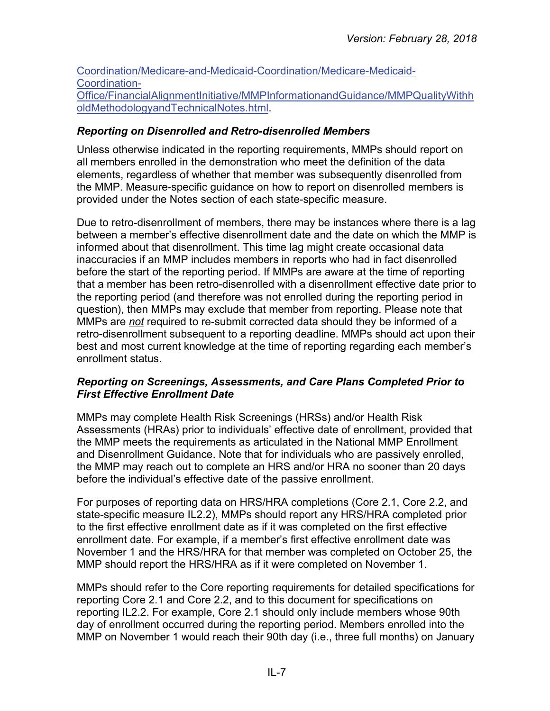[Coordination/Medicare-and-Medicaid-Coordination/Medicare-Medicaid-](https://www.cms.gov/Medicare-Medicaid-Coordination/Medicare-and-Medicaid-Coordination/Medicare-Medicaid-Coordination-Office/FinancialAlignmentInitiative/MMPInformationandGuidance/MMPQualityWithholdMethodologyandTechnicalNotes.html)[Coordination-](https://www.cms.gov/Medicare-Medicaid-Coordination/Medicare-and-Medicaid-Coordination/Medicare-Medicaid-Coordination-Office/FinancialAlignmentInitiative/MMPInformationandGuidance/MMPQualityWithholdMethodologyandTechnicalNotes.html)[Office/FinancialAlignmentInitiative/MMPInformationandGuidance/MMPQualityWithh](https://www.cms.gov/Medicare-Medicaid-Coordination/Medicare-and-Medicaid-Coordination/Medicare-Medicaid-Coordination-Office/FinancialAlignmentInitiative/MMPInformationandGuidance/MMPQualityWithholdMethodologyandTechnicalNotes.html) [oldMethodologyandTechnicalNotes.html.](https://www.cms.gov/Medicare-Medicaid-Coordination/Medicare-and-Medicaid-Coordination/Medicare-Medicaid-Coordination-Office/FinancialAlignmentInitiative/MMPInformationandGuidance/MMPQualityWithholdMethodologyandTechnicalNotes.html)

#### <span id="page-6-0"></span>*Reporting on Disenrolled and Retro-disenrolled Members*

Unless otherwise indicated in the reporting requirements, MMPs should report on all members enrolled in the demonstration who meet the definition of the data elements, regardless of whether that member was subsequently disenrolled from the MMP. Measure-specific guidance on how to report on disenrolled members is provided under the Notes section of each state-specific measure.

Due to retro-disenrollment of members, there may be instances where there is a lag between a member's effective disenrollment date and the date on which the MMP is informed about that disenrollment. This time lag might create occasional data inaccuracies if an MMP includes members in reports who had in fact disenrolled before the start of the reporting period. If MMPs are aware at the time of reporting that a member has been retro-disenrolled with a disenrollment effective date prior to the reporting period (and therefore was not enrolled during the reporting period in question), then MMPs may exclude that member from reporting. Please note that MMPs are *not* required to re-submit corrected data should they be informed of a retro-disenrollment subsequent to a reporting deadline. MMPs should act upon their best and most current knowledge at the time of reporting regarding each member's enrollment status.

#### <span id="page-6-1"></span>*Reporting on Screenings, Assessments, and Care Plans Completed Prior to First Effective Enrollment Date*

MMPs may complete Health Risk Screenings (HRSs) and/or Health Risk Assessments (HRAs) prior to individuals' effective date of enrollment, provided that the MMP meets the requirements as articulated in the National MMP Enrollment and Disenrollment Guidance. Note that for individuals who are passively enrolled, the MMP may reach out to complete an HRS and/or HRA no sooner than 20 days before the individual's effective date of the passive enrollment.

For purposes of reporting data on HRS/HRA completions (Core 2.1, Core 2.2, and state-specific measure IL2.2), MMPs should report any HRS/HRA completed prior to the first effective enrollment date as if it was completed on the first effective enrollment date. For example, if a member's first effective enrollment date was November 1 and the HRS/HRA for that member was completed on October 25, the MMP should report the HRS/HRA as if it were completed on November 1.

MMPs should refer to the Core reporting requirements for detailed specifications for reporting Core 2.1 and Core 2.2, and to this document for specifications on reporting IL2.2. For example, Core 2.1 should only include members whose 90th day of enrollment occurred during the reporting period. Members enrolled into the MMP on November 1 would reach their 90th day (i.e., three full months) on January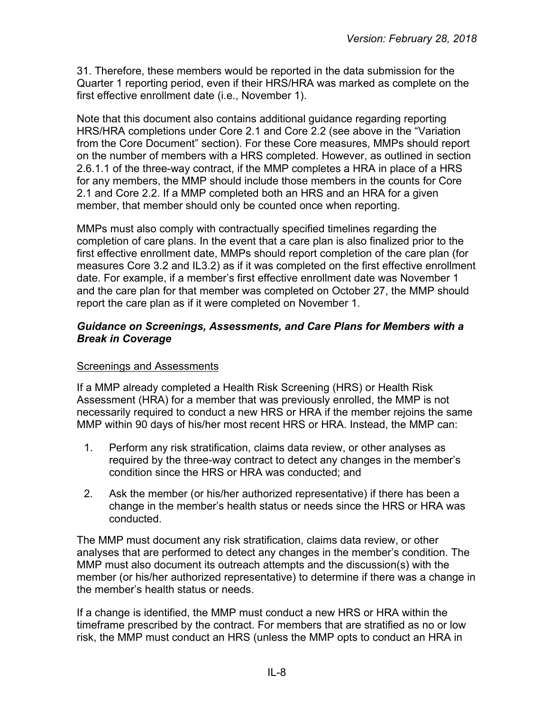31. Therefore, these members would be reported in the data submission for the Quarter 1 reporting period, even if their HRS/HRA was marked as complete on the first effective enrollment date (i.e., November 1).

Note that this document also contains additional guidance regarding reporting HRS/HRA completions under Core 2.1 and Core 2.2 (see above in the "Variation from the Core Document" section). For these Core measures, MMPs should report on the number of members with a HRS completed. However, as outlined in section 2.6.1.1 of the three-way contract, if the MMP completes a HRA in place of a HRS for any members, the MMP should include those members in the counts for Core 2.1 and Core 2.2. If a MMP completed both an HRS and an HRA for a given member, that member should only be counted once when reporting.

MMPs must also comply with contractually specified timelines regarding the completion of care plans. In the event that a care plan is also finalized prior to the first effective enrollment date, MMPs should report completion of the care plan (for measures Core 3.2 and IL3.2) as if it was completed on the first effective enrollment date. For example, if a member's first effective enrollment date was November 1 and the care plan for that member was completed on October 27, the MMP should report the care plan as if it were completed on November 1.

#### <span id="page-7-0"></span>*Guidance on Screenings, Assessments, and Care Plans for Members with a Break in Coverage*

#### Screenings and Assessments

If a MMP already completed a Health Risk Screening (HRS) or Health Risk Assessment (HRA) for a member that was previously enrolled, the MMP is not necessarily required to conduct a new HRS or HRA if the member rejoins the same MMP within 90 days of his/her most recent HRS or HRA. Instead, the MMP can:

- 1. Perform any risk stratification, claims data review, or other analyses as required by the three-way contract to detect any changes in the member's condition since the HRS or HRA was conducted; and
- 2. Ask the member (or his/her authorized representative) if there has been a change in the member's health status or needs since the HRS or HRA was conducted.

The MMP must document any risk stratification, claims data review, or other analyses that are performed to detect any changes in the member's condition. The MMP must also document its outreach attempts and the discussion(s) with the member (or his/her authorized representative) to determine if there was a change in the member's health status or needs.

If a change is identified, the MMP must conduct a new HRS or HRA within the timeframe prescribed by the contract. For members that are stratified as no or low risk, the MMP must conduct an HRS (unless the MMP opts to conduct an HRA in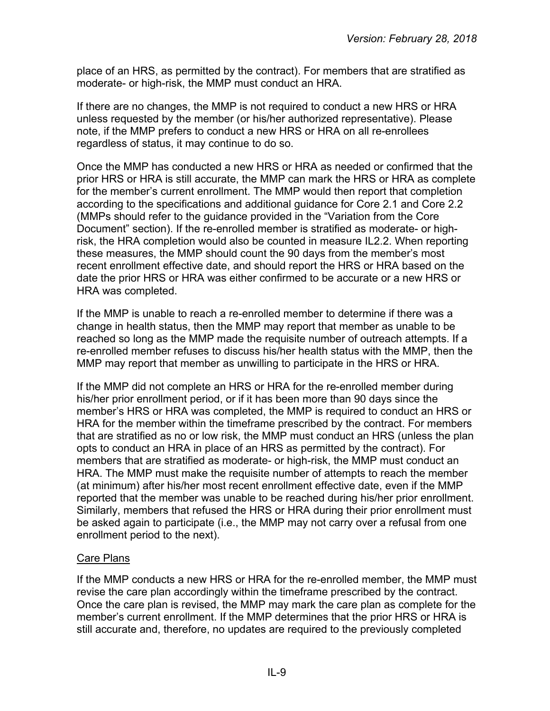place of an HRS, as permitted by the contract). For members that are stratified as moderate- or high-risk, the MMP must conduct an HRA.

If there are no changes, the MMP is not required to conduct a new HRS or HRA unless requested by the member (or his/her authorized representative). Please note, if the MMP prefers to conduct a new HRS or HRA on all re-enrollees regardless of status, it may continue to do so.

Once the MMP has conducted a new HRS or HRA as needed or confirmed that the prior HRS or HRA is still accurate, the MMP can mark the HRS or HRA as complete for the member's current enrollment. The MMP would then report that completion according to the specifications and additional guidance for Core 2.1 and Core 2.2 (MMPs should refer to the guidance provided in the "Variation from the Core Document" section). If the re-enrolled member is stratified as moderate- or highrisk, the HRA completion would also be counted in measure IL2.2. When reporting these measures, the MMP should count the 90 days from the member's most recent enrollment effective date, and should report the HRS or HRA based on the date the prior HRS or HRA was either confirmed to be accurate or a new HRS or HRA was completed.

If the MMP is unable to reach a re-enrolled member to determine if there was a change in health status, then the MMP may report that member as unable to be reached so long as the MMP made the requisite number of outreach attempts. If a re-enrolled member refuses to discuss his/her health status with the MMP, then the MMP may report that member as unwilling to participate in the HRS or HRA.

If the MMP did not complete an HRS or HRA for the re-enrolled member during his/her prior enrollment period, or if it has been more than 90 days since the member's HRS or HRA was completed, the MMP is required to conduct an HRS or HRA for the member within the timeframe prescribed by the contract. For members that are stratified as no or low risk, the MMP must conduct an HRS (unless the plan opts to conduct an HRA in place of an HRS as permitted by the contract). For members that are stratified as moderate- or high-risk, the MMP must conduct an HRA. The MMP must make the requisite number of attempts to reach the member (at minimum) after his/her most recent enrollment effective date, even if the MMP reported that the member was unable to be reached during his/her prior enrollment. Similarly, members that refused the HRS or HRA during their prior enrollment must be asked again to participate (i.e., the MMP may not carry over a refusal from one enrollment period to the next).

## Care Plans

If the MMP conducts a new HRS or HRA for the re-enrolled member, the MMP must revise the care plan accordingly within the timeframe prescribed by the contract. Once the care plan is revised, the MMP may mark the care plan as complete for the member's current enrollment. If the MMP determines that the prior HRS or HRA is still accurate and, therefore, no updates are required to the previously completed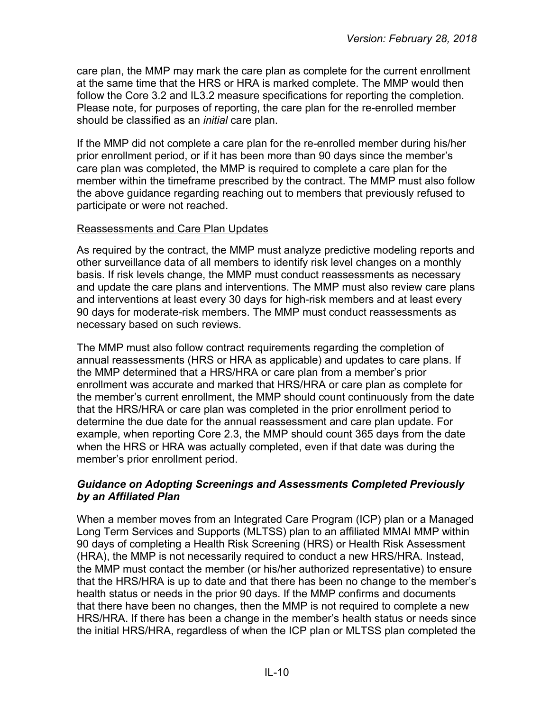care plan, the MMP may mark the care plan as complete for the current enrollment at the same time that the HRS or HRA is marked complete. The MMP would then follow the Core 3.2 and IL3.2 measure specifications for reporting the completion. Please note, for purposes of reporting, the care plan for the re-enrolled member should be classified as an *initial* care plan.

If the MMP did not complete a care plan for the re-enrolled member during his/her prior enrollment period, or if it has been more than 90 days since the member's care plan was completed, the MMP is required to complete a care plan for the member within the timeframe prescribed by the contract. The MMP must also follow the above guidance regarding reaching out to members that previously refused to participate or were not reached.

#### Reassessments and Care Plan Updates

As required by the contract, the MMP must analyze predictive modeling reports and other surveillance data of all members to identify risk level changes on a monthly basis. If risk levels change, the MMP must conduct reassessments as necessary and update the care plans and interventions. The MMP must also review care plans and interventions at least every 30 days for high-risk members and at least every 90 days for moderate-risk members. The MMP must conduct reassessments as necessary based on such reviews.

The MMP must also follow contract requirements regarding the completion of annual reassessments (HRS or HRA as applicable) and updates to care plans. If the MMP determined that a HRS/HRA or care plan from a member's prior enrollment was accurate and marked that HRS/HRA or care plan as complete for the member's current enrollment, the MMP should count continuously from the date that the HRS/HRA or care plan was completed in the prior enrollment period to determine the due date for the annual reassessment and care plan update. For example, when reporting Core 2.3, the MMP should count 365 days from the date when the HRS or HRA was actually completed, even if that date was during the member's prior enrollment period.

#### <span id="page-9-0"></span>*Guidance on Adopting Screenings and Assessments Completed Previously by an Affiliated Plan*

When a member moves from an Integrated Care Program (ICP) plan or a Managed Long Term Services and Supports (MLTSS) plan to an affiliated MMAI MMP within 90 days of completing a Health Risk Screening (HRS) or Health Risk Assessment (HRA), the MMP is not necessarily required to conduct a new HRS/HRA. Instead, the MMP must contact the member (or his/her authorized representative) to ensure that the HRS/HRA is up to date and that there has been no change to the member's health status or needs in the prior 90 days. If the MMP confirms and documents that there have been no changes, then the MMP is not required to complete a new HRS/HRA. If there has been a change in the member's health status or needs since the initial HRS/HRA, regardless of when the ICP plan or MLTSS plan completed the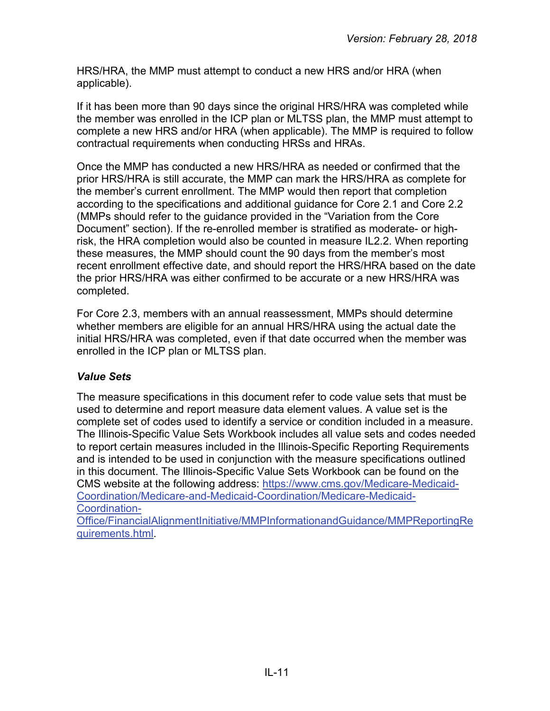HRS/HRA, the MMP must attempt to conduct a new HRS and/or HRA (when applicable).

If it has been more than 90 days since the original HRS/HRA was completed while the member was enrolled in the ICP plan or MLTSS plan, the MMP must attempt to complete a new HRS and/or HRA (when applicable). The MMP is required to follow contractual requirements when conducting HRSs and HRAs.

Once the MMP has conducted a new HRS/HRA as needed or confirmed that the prior HRS/HRA is still accurate, the MMP can mark the HRS/HRA as complete for the member's current enrollment. The MMP would then report that completion according to the specifications and additional guidance for Core 2.1 and Core 2.2 (MMPs should refer to the guidance provided in the "Variation from the Core Document" section). If the re-enrolled member is stratified as moderate- or highrisk, the HRA completion would also be counted in measure IL2.2. When reporting these measures, the MMP should count the 90 days from the member's most recent enrollment effective date, and should report the HRS/HRA based on the date the prior HRS/HRA was either confirmed to be accurate or a new HRS/HRA was completed.

For Core 2.3, members with an annual reassessment, MMPs should determine whether members are eligible for an annual HRS/HRA using the actual date the initial HRS/HRA was completed, even if that date occurred when the member was enrolled in the ICP plan or MLTSS plan.

## <span id="page-10-0"></span>*Value Sets*

The measure specifications in this document refer to code value sets that must be used to determine and report measure data element values. A value set is the complete set of codes used to identify a service or condition included in a measure. The Illinois-Specific Value Sets Workbook includes all value sets and codes needed to report certain measures included in the Illinois-Specific Reporting Requirements and is intended to be used in conjunction with the measure specifications outlined in this document. The Illinois-Specific Value Sets Workbook can be found on the CMS website at the following address: [https://www.cms.gov/Medicare-Medicaid-](https://www.cms.gov/Medicare-Medicaid-Coordination/Medicare-and-Medicaid-Coordination/Medicare-Medicaid-Coordination-Office/FinancialAlignmentInitiative/MMPInformationandGuidance/MMPReportingRequirements.html)[Coordination/Medicare-and-Medicaid-Coordination/Medicare-Medicaid-](https://www.cms.gov/Medicare-Medicaid-Coordination/Medicare-and-Medicaid-Coordination/Medicare-Medicaid-Coordination-Office/FinancialAlignmentInitiative/MMPInformationandGuidance/MMPReportingRequirements.html)Coordination-

<span id="page-10-1"></span>[Office/FinancialAlignmentInitiative/MMPInformationandGuidance/MMPReportingRe](https://www.cms.gov/Medicare-Medicaid-Coordination/Medicare-and-Medicaid-Coordination/Medicare-Medicaid-Coordination-Office/FinancialAlignmentInitiative/MMPInformationandGuidance/MMPReportingRequirements.html) [quirements.html.](https://www.cms.gov/Medicare-Medicaid-Coordination/Medicare-and-Medicaid-Coordination/Medicare-Medicaid-Coordination-Office/FinancialAlignmentInitiative/MMPInformationandGuidance/MMPReportingRequirements.html)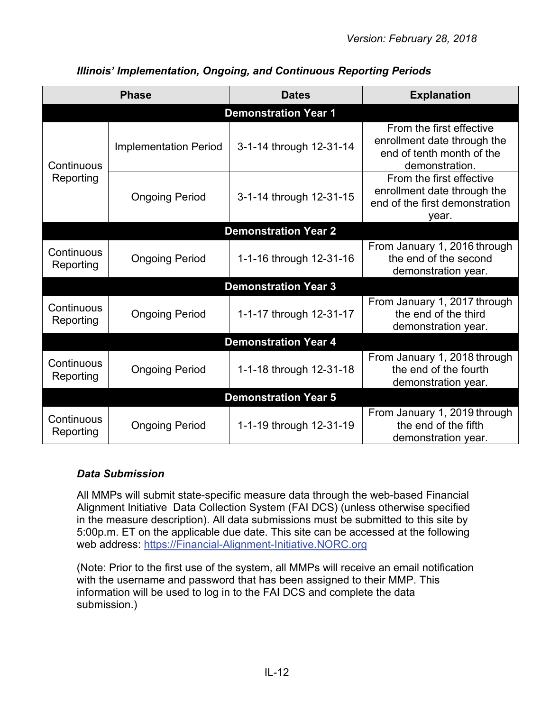|                         | <b>Phase</b>                 | <b>Dates</b>                | <b>Explanation</b>                                                                                     |  |  |  |  |
|-------------------------|------------------------------|-----------------------------|--------------------------------------------------------------------------------------------------------|--|--|--|--|
|                         | <b>Demonstration Year 1</b>  |                             |                                                                                                        |  |  |  |  |
| Continuous              | <b>Implementation Period</b> | 3-1-14 through 12-31-14     | From the first effective<br>enrollment date through the<br>end of tenth month of the<br>demonstration. |  |  |  |  |
| Reporting               | <b>Ongoing Period</b>        | 3-1-14 through 12-31-15     | From the first effective<br>enrollment date through the<br>end of the first demonstration<br>year.     |  |  |  |  |
|                         |                              | <b>Demonstration Year 2</b> |                                                                                                        |  |  |  |  |
| Continuous<br>Reporting | <b>Ongoing Period</b>        | 1-1-16 through 12-31-16     | From January 1, 2016 through<br>the end of the second<br>demonstration year.                           |  |  |  |  |
|                         |                              | <b>Demonstration Year 3</b> |                                                                                                        |  |  |  |  |
| Continuous<br>Reporting | <b>Ongoing Period</b>        | 1-1-17 through 12-31-17     | From January 1, 2017 through<br>the end of the third<br>demonstration year.                            |  |  |  |  |
|                         |                              | <b>Demonstration Year 4</b> |                                                                                                        |  |  |  |  |
| Continuous<br>Reporting | <b>Ongoing Period</b>        | 1-1-18 through 12-31-18     | From January 1, 2018 through<br>the end of the fourth<br>demonstration year.                           |  |  |  |  |
|                         |                              | <b>Demonstration Year 5</b> |                                                                                                        |  |  |  |  |
| Continuous<br>Reporting | <b>Ongoing Period</b>        | 1-1-19 through 12-31-19     | From January 1, 2019 through<br>the end of the fifth<br>demonstration year.                            |  |  |  |  |

## *Illinois' Implementation, Ongoing, and Continuous Reporting Periods*

## <span id="page-11-0"></span>*Data Submission*

All MMPs will submit state-specific measure data through the web-based Financial Alignment Initiative Data Collection System (FAI DCS) (unless otherwise specified in the measure description). All data submissions must be submitted to this site by 5:00p.m. ET on the applicable due date. This site can be accessed at the following web address: [https://Financial-Alignment-Initiative.NORC.org](https://financial-alignment-initiative.norc.org/)

(Note: Prior to the first use of the system, all MMPs will receive an email notification with the username and password that has been assigned to their MMP. This information will be used to log in to the FAI DCS and complete the data submission.)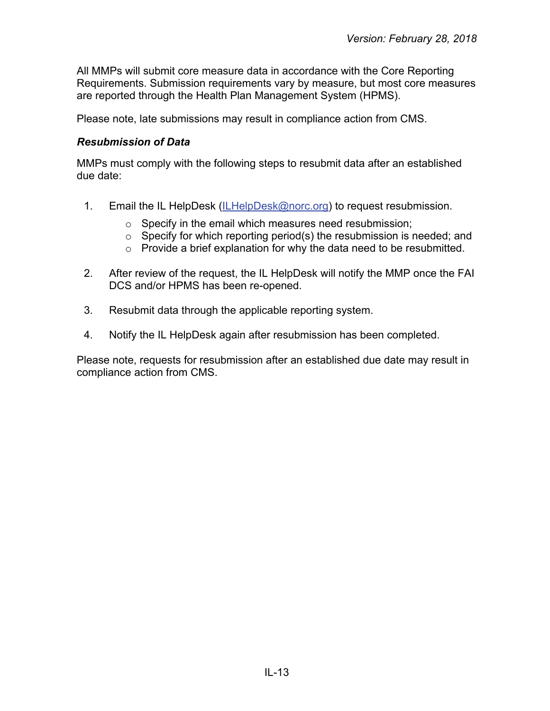All MMPs will submit core measure data in accordance with the Core Reporting Requirements. Submission requirements vary by measure, but most core measures are reported through the Health Plan Management System (HPMS).

Please note, late submissions may result in compliance action from CMS.

#### <span id="page-12-0"></span>*Resubmission of Data*

MMPs must comply with the following steps to resubmit data after an established due date:

- 1. Email the IL HelpDesk [\(ILHelpDesk@norc.org\)](mailto:ILHelpDesk@norc.org) to request resubmission.
	- $\circ$  Specify in the email which measures need resubmission;
	- $\circ$  Specify for which reporting period(s) the resubmission is needed; and
	- o Provide a brief explanation for why the data need to be resubmitted.
- 2. After review of the request, the IL HelpDesk will notify the MMP once the FAI DCS and/or HPMS has been re-opened.
- 3. Resubmit data through the applicable reporting system.
- 4. Notify the IL HelpDesk again after resubmission has been completed.

Please note, requests for resubmission after an established due date may result in compliance action from CMS.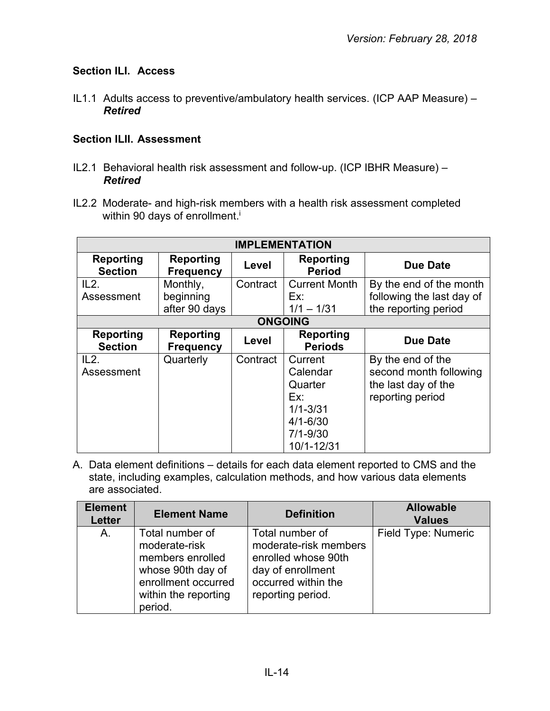## <span id="page-13-0"></span>**Section ILI. Access**

IL1.1 Adults access to preventive/ambulatory health services. (ICP AAP Measure) – *Retired*

#### <span id="page-13-1"></span>**Section ILII. Assessment**

- IL2.1 Behavioral health risk assessment and follow-up. (ICP IBHR Measure) *Retired*
- IL2.2 Moderate- and high-risk members with a health risk assessment completed within 90 days of enrollment.<sup>i</sup>

|                                    | <b>IMPLEMENTATION</b>                |          |                                                                                                     |                                                                                        |  |  |
|------------------------------------|--------------------------------------|----------|-----------------------------------------------------------------------------------------------------|----------------------------------------------------------------------------------------|--|--|
| <b>Reporting</b><br><b>Section</b> | Reporting<br><b>Frequency</b>        | Level    | <b>Reporting</b><br><b>Period</b>                                                                   | <b>Due Date</b>                                                                        |  |  |
| IL2.                               | Monthly,                             | Contract | <b>Current Month</b>                                                                                | By the end of the month                                                                |  |  |
| Assessment                         | beginning<br>after 90 days           |          | Ex:<br>$1/1 - 1/31$                                                                                 | following the last day of<br>the reporting period                                      |  |  |
|                                    |                                      |          | <b>ONGOING</b>                                                                                      |                                                                                        |  |  |
| <b>Reporting</b><br><b>Section</b> | <b>Reporting</b><br><b>Frequency</b> | Level    | <b>Reporting</b><br><b>Periods</b>                                                                  | <b>Due Date</b>                                                                        |  |  |
| IL2.<br>Assessment                 | Quarterly                            | Contract | Current<br>Calendar<br>Quarter<br>Ex:<br>$1/1 - 3/31$<br>$4/1 - 6/30$<br>$7/1 - 9/30$<br>10/1-12/31 | By the end of the<br>second month following<br>the last day of the<br>reporting period |  |  |

| <b>Element</b><br><b>Letter</b> | <b>Element Name</b>                                                                                                                 | <b>Definition</b>                                                                                                                | <b>Allowable</b><br><b>Values</b> |
|---------------------------------|-------------------------------------------------------------------------------------------------------------------------------------|----------------------------------------------------------------------------------------------------------------------------------|-----------------------------------|
| A.                              | Total number of<br>moderate-risk<br>members enrolled<br>whose 90th day of<br>enrollment occurred<br>within the reporting<br>period. | Total number of<br>moderate-risk members<br>enrolled whose 90th<br>day of enrollment<br>occurred within the<br>reporting period. | Field Type: Numeric               |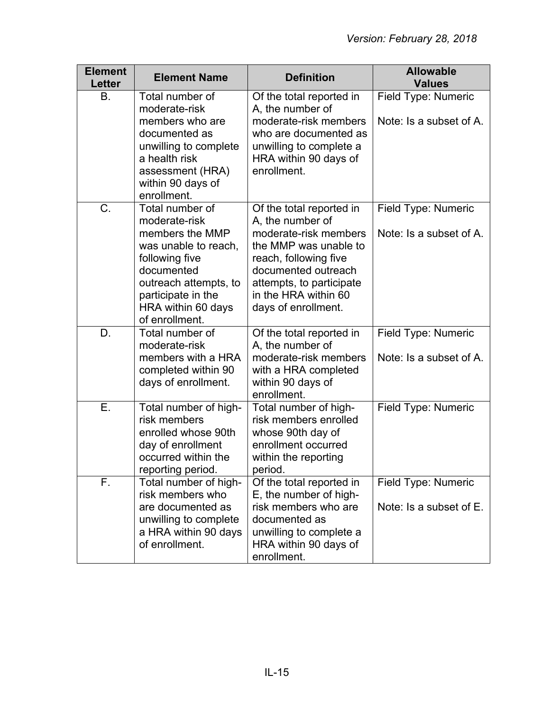| <b>Element</b><br><b>Letter</b> | <b>Element Name</b>                                                                                                                                                                                | <b>Definition</b>                                                                                                                                                                                                         | <b>Allowable</b><br><b>Values</b>              |
|---------------------------------|----------------------------------------------------------------------------------------------------------------------------------------------------------------------------------------------------|---------------------------------------------------------------------------------------------------------------------------------------------------------------------------------------------------------------------------|------------------------------------------------|
| В.                              | Total number of<br>moderate-risk<br>members who are<br>documented as<br>unwilling to complete<br>a health risk<br>assessment (HRA)<br>within 90 days of<br>enrollment.                             | Of the total reported in<br>A, the number of<br>moderate-risk members<br>who are documented as<br>unwilling to complete a<br>HRA within 90 days of<br>enrollment.                                                         | Field Type: Numeric<br>Note: Is a subset of A. |
| C.                              | Total number of<br>moderate-risk<br>members the MMP<br>was unable to reach,<br>following five<br>documented<br>outreach attempts, to<br>participate in the<br>HRA within 60 days<br>of enrollment. | Of the total reported in<br>A, the number of<br>moderate-risk members<br>the MMP was unable to<br>reach, following five<br>documented outreach<br>attempts, to participate<br>in the HRA within 60<br>days of enrollment. | Field Type: Numeric<br>Note: Is a subset of A. |
| D.                              | Total number of<br>moderate-risk<br>members with a HRA<br>completed within 90<br>days of enrollment.                                                                                               | Of the total reported in<br>A, the number of<br>moderate-risk members<br>with a HRA completed<br>within 90 days of<br>enrollment.                                                                                         | Field Type: Numeric<br>Note: Is a subset of A. |
| $\overline{E}$ .                | Total number of high-<br>risk members<br>enrolled whose 90th<br>day of enrollment<br>occurred within the<br>reporting period.                                                                      | Total number of high-<br>risk members enrolled<br>whose 90th day of<br>enrollment occurred<br>within the reporting<br>period.                                                                                             | Field Type: Numeric                            |
| F.                              | Total number of high-<br>risk members who<br>are documented as<br>unwilling to complete<br>a HRA within 90 days<br>of enrollment.                                                                  | Of the total reported in<br>E, the number of high-<br>risk members who are<br>documented as<br>unwilling to complete a<br>HRA within 90 days of<br>enrollment.                                                            | Field Type: Numeric<br>Note: Is a subset of E. |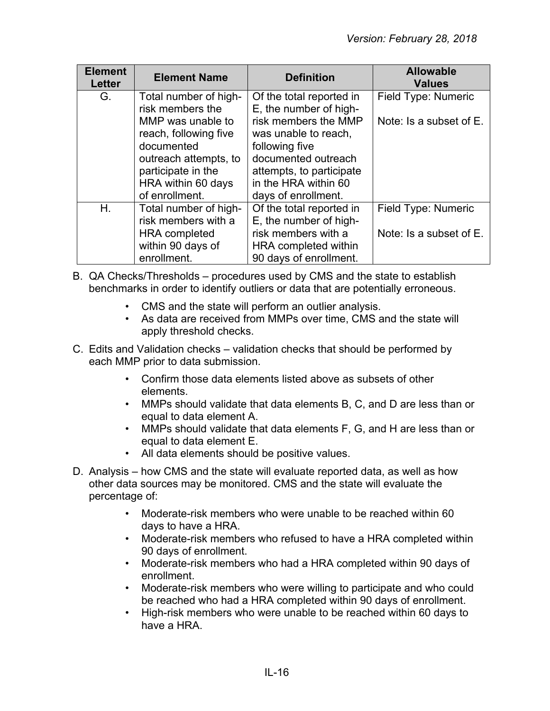| <b>Element</b><br><b>Letter</b> | <b>Element Name</b><br><b>Definition</b> |                          | <b>Allowable</b><br><b>Values</b> |
|---------------------------------|------------------------------------------|--------------------------|-----------------------------------|
| G.                              | Total number of high-                    | Of the total reported in | Field Type: Numeric               |
|                                 | risk members the                         | E, the number of high-   |                                   |
|                                 | MMP was unable to                        | risk members the MMP     | Note: Is a subset of E.           |
|                                 | reach, following five                    | was unable to reach,     |                                   |
|                                 | documented                               | following five           |                                   |
| outreach attempts, to           |                                          | documented outreach      |                                   |
|                                 | participate in the                       | attempts, to participate |                                   |
| HRA within 60 days              |                                          | in the HRA within 60     |                                   |
|                                 | of enrollment.                           | days of enrollment.      |                                   |
| Η.                              | Total number of high-                    | Of the total reported in | Field Type: Numeric               |
|                                 | risk members with a                      | E, the number of high-   |                                   |
|                                 | <b>HRA</b> completed                     | risk members with a      | Note: Is a subset of E.           |
|                                 | within 90 days of                        | HRA completed within     |                                   |
|                                 | enrollment.                              | 90 days of enrollment.   |                                   |

- B. QA Checks/Thresholds procedures used by CMS and the state to establish benchmarks in order to identify outliers or data that are potentially erroneous.
	- CMS and the state will perform an outlier analysis.
	- As data are received from MMPs over time, CMS and the state will apply threshold checks.
- C. Edits and Validation checks validation checks that should be performed by each MMP prior to data submission.
	- Confirm those data elements listed above as subsets of other elements.
	- MMPs should validate that data elements B, C, and D are less than or equal to data element A.
	- MMPs should validate that data elements F, G, and H are less than or equal to data element E.
	- All data elements should be positive values.
- D. Analysis how CMS and the state will evaluate reported data, as well as how other data sources may be monitored. CMS and the state will evaluate the percentage of:
	- Moderate-risk members who were unable to be reached within 60 days to have a HRA.
	- Moderate-risk members who refused to have a HRA completed within 90 days of enrollment.
	- Moderate-risk members who had a HRA completed within 90 days of enrollment.
	- Moderate-risk members who were willing to participate and who could be reached who had a HRA completed within 90 days of enrollment.
	- High-risk members who were unable to be reached within 60 days to have a HRA.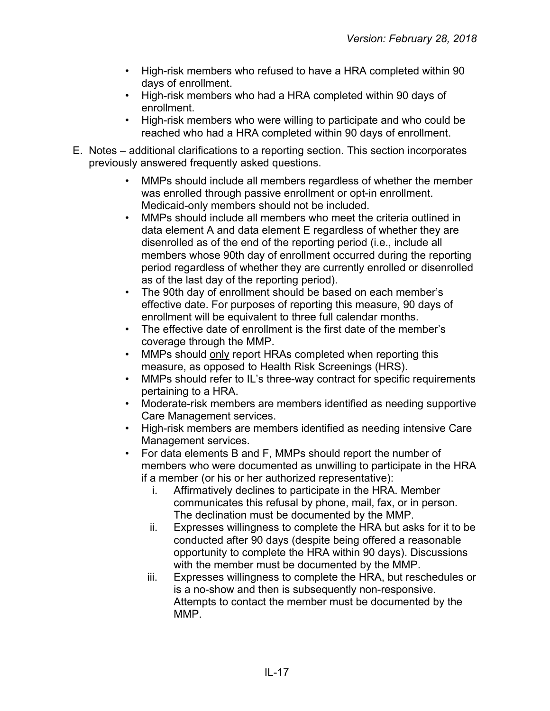- High-risk members who refused to have a HRA completed within 90 days of enrollment.
- High-risk members who had a HRA completed within 90 days of enrollment.
- High-risk members who were willing to participate and who could be reached who had a HRA completed within 90 days of enrollment.
- E. Notes additional clarifications to a reporting section. This section incorporates previously answered frequently asked questions.
	- MMPs should include all members regardless of whether the member was enrolled through passive enrollment or opt-in enrollment. Medicaid-only members should not be included.
	- MMPs should include all members who meet the criteria outlined in data element A and data element E regardless of whether they are disenrolled as of the end of the reporting period (i.e., include all members whose 90th day of enrollment occurred during the reporting period regardless of whether they are currently enrolled or disenrolled as of the last day of the reporting period).
	- The 90th day of enrollment should be based on each member's effective date. For purposes of reporting this measure, 90 days of enrollment will be equivalent to three full calendar months.
	- The effective date of enrollment is the first date of the member's coverage through the MMP.
	- MMPs should only report HRAs completed when reporting this measure, as opposed to Health Risk Screenings (HRS).
	- MMPs should refer to IL's three-way contract for specific requirements pertaining to a HRA.
	- Moderate-risk members are members identified as needing supportive Care Management services.
	- High-risk members are members identified as needing intensive Care Management services.
	- For data elements B and F, MMPs should report the number of members who were documented as unwilling to participate in the HRA if a member (or his or her authorized representative):
		- i. Affirmatively declines to participate in the HRA. Member communicates this refusal by phone, mail, fax, or in person. The declination must be documented by the MMP.
		- ii. Expresses willingness to complete the HRA but asks for it to be conducted after 90 days (despite being offered a reasonable opportunity to complete the HRA within 90 days). Discussions with the member must be documented by the MMP.
		- iii. Expresses willingness to complete the HRA, but reschedules or is a no-show and then is subsequently non-responsive. Attempts to contact the member must be documented by the MMP.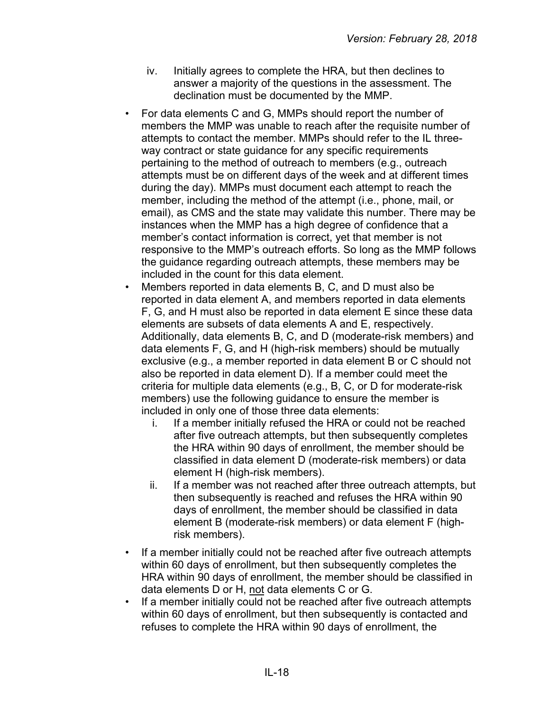- iv. Initially agrees to complete the HRA, but then declines to answer a majority of the questions in the assessment. The declination must be documented by the MMP.
- For data elements C and G, MMPs should report the number of members the MMP was unable to reach after the requisite number of attempts to contact the member. MMPs should refer to the IL threeway contract or state guidance for any specific requirements pertaining to the method of outreach to members (e.g., outreach attempts must be on different days of the week and at different times during the day). MMPs must document each attempt to reach the member, including the method of the attempt (i.e., phone, mail, or email), as CMS and the state may validate this number. There may be instances when the MMP has a high degree of confidence that a member's contact information is correct, yet that member is not responsive to the MMP's outreach efforts. So long as the MMP follows the guidance regarding outreach attempts, these members may be included in the count for this data element.
- Members reported in data elements B, C, and D must also be reported in data element A, and members reported in data elements F, G, and H must also be reported in data element E since these data elements are subsets of data elements A and E, respectively. Additionally, data elements B, C, and D (moderate-risk members) and data elements F, G, and H (high-risk members) should be mutually exclusive (e.g., a member reported in data element B or C should not also be reported in data element D). If a member could meet the criteria for multiple data elements (e.g., B, C, or D for moderate-risk members) use the following guidance to ensure the member is included in only one of those three data elements:
	- i. If a member initially refused the HRA or could not be reached after five outreach attempts, but then subsequently completes the HRA within 90 days of enrollment, the member should be classified in data element D (moderate-risk members) or data element H (high-risk members).
	- ii. If a member was not reached after three outreach attempts, but then subsequently is reached and refuses the HRA within 90 days of enrollment, the member should be classified in data element B (moderate-risk members) or data element F (highrisk members).
- If a member initially could not be reached after five outreach attempts within 60 days of enrollment, but then subsequently completes the HRA within 90 days of enrollment, the member should be classified in data elements D or H, not data elements C or G.
- If a member initially could not be reached after five outreach attempts within 60 days of enrollment, but then subsequently is contacted and refuses to complete the HRA within 90 days of enrollment, the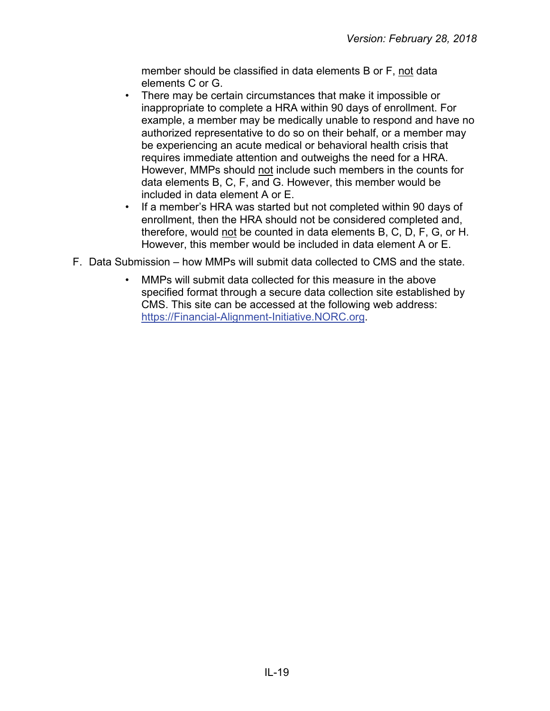member should be classified in data elements B or F, not data elements C or G.

- There may be certain circumstances that make it impossible or inappropriate to complete a HRA within 90 days of enrollment. For example, a member may be medically unable to respond and have no authorized representative to do so on their behalf, or a member may be experiencing an acute medical or behavioral health crisis that requires immediate attention and outweighs the need for a HRA. However, MMPs should not include such members in the counts for data elements B, C, F, and G. However, this member would be included in data element A or E.
- If a member's HRA was started but not completed within 90 days of enrollment, then the HRA should not be considered completed and, therefore, would not be counted in data elements B, C, D, F, G, or H. However, this member would be included in data element A or E.
- F. Data Submission how MMPs will submit data collected to CMS and the state.
	- MMPs will submit data collected for this measure in the above specified format through a secure data collection site established by CMS. This site can be accessed at the following web address: [https://Financial-Alignment-Initiative.NORC.org.](https://financial-alignment-initiative.norc.org/)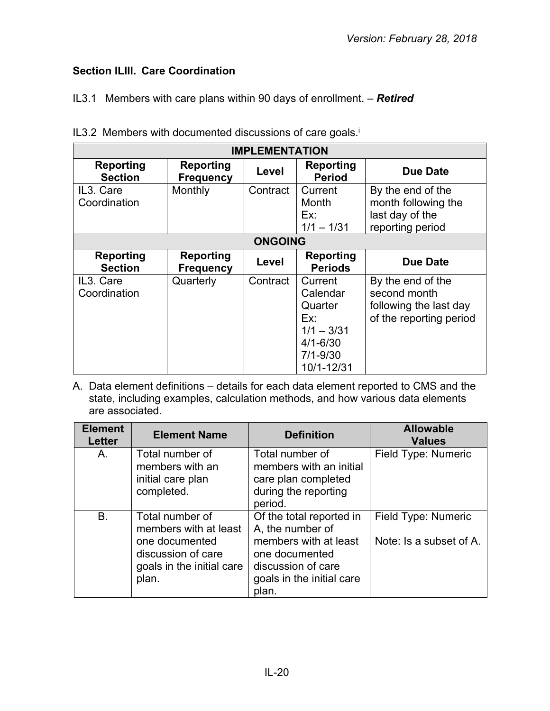# <span id="page-19-0"></span>**Section ILIII. Care Coordination**

IL3.1 Members with care plans within 90 days of enrollment. – *Retired*

| <b>IMPLEMENTATION</b>              |                                      |                |                                                                                                     |                                                                                        |  |
|------------------------------------|--------------------------------------|----------------|-----------------------------------------------------------------------------------------------------|----------------------------------------------------------------------------------------|--|
| <b>Reporting</b><br><b>Section</b> | <b>Reporting</b><br><b>Frequency</b> | Level          | Reporting<br><b>Period</b>                                                                          | <b>Due Date</b>                                                                        |  |
| IL3. Care<br>Coordination          | Monthly                              | Contract       | Current<br>Month<br>Ex:<br>$1/1 - 1/31$                                                             | By the end of the<br>month following the<br>last day of the<br>reporting period        |  |
|                                    |                                      | <b>ONGOING</b> |                                                                                                     |                                                                                        |  |
| <b>Reporting</b><br><b>Section</b> | Reporting<br><b>Frequency</b>        | Level          | <b>Reporting</b><br><b>Periods</b>                                                                  | <b>Due Date</b>                                                                        |  |
| IL3. Care<br>Coordination          | Quarterly                            | Contract       | Current<br>Calendar<br>Quarter<br>Ex:<br>$1/1 - 3/31$<br>$4/1 - 6/30$<br>$7/1 - 9/30$<br>10/1-12/31 | By the end of the<br>second month<br>following the last day<br>of the reporting period |  |

IL3.2 Members with documented discussions of care goals.<sup>i</sup>

| <b>Element</b><br><b>Letter</b> | <b>Element Name</b>                                                                                                    | <b>Definition</b>                                                                                                                                   | <b>Allowable</b><br><b>Values</b>              |
|---------------------------------|------------------------------------------------------------------------------------------------------------------------|-----------------------------------------------------------------------------------------------------------------------------------------------------|------------------------------------------------|
| A.                              | Total number of<br>members with an<br>initial care plan<br>completed.                                                  | Total number of<br>members with an initial<br>care plan completed<br>during the reporting<br>period.                                                | Field Type: Numeric                            |
| <b>B.</b>                       | Total number of<br>members with at least<br>one documented<br>discussion of care<br>goals in the initial care<br>plan. | Of the total reported in<br>A, the number of<br>members with at least<br>one documented<br>discussion of care<br>goals in the initial care<br>plan. | Field Type: Numeric<br>Note: Is a subset of A. |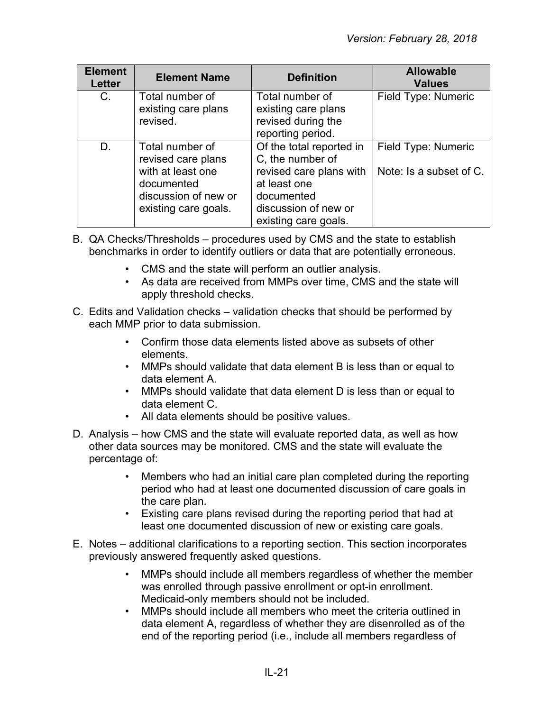| <b>Element</b><br><b>Letter</b> | <b>Element Name</b>                                                                                                      | <b>Definition</b>                                                                                                                                     | <b>Allowable</b><br><b>Values</b>              |
|---------------------------------|--------------------------------------------------------------------------------------------------------------------------|-------------------------------------------------------------------------------------------------------------------------------------------------------|------------------------------------------------|
| $C_{\cdot}$                     | Total number of<br>existing care plans<br>revised.                                                                       | Total number of<br>existing care plans<br>revised during the<br>reporting period.                                                                     | Field Type: Numeric                            |
| D.                              | Total number of<br>revised care plans<br>with at least one<br>documented<br>discussion of new or<br>existing care goals. | Of the total reported in<br>C, the number of<br>revised care plans with<br>at least one<br>documented<br>discussion of new or<br>existing care goals. | Field Type: Numeric<br>Note: Is a subset of C. |

- B. QA Checks/Thresholds procedures used by CMS and the state to establish benchmarks in order to identify outliers or data that are potentially erroneous.
	- CMS and the state will perform an outlier analysis.
	- As data are received from MMPs over time, CMS and the state will apply threshold checks.
- C. Edits and Validation checks validation checks that should be performed by each MMP prior to data submission.
	- Confirm those data elements listed above as subsets of other elements.
	- MMPs should validate that data element B is less than or equal to data element A.
	- MMPs should validate that data element D is less than or equal to data element C.
	- All data elements should be positive values.
- D. Analysis how CMS and the state will evaluate reported data, as well as how other data sources may be monitored. CMS and the state will evaluate the percentage of:
	- Members who had an initial care plan completed during the reporting period who had at least one documented discussion of care goals in the care plan.
	- Existing care plans revised during the reporting period that had at least one documented discussion of new or existing care goals.
- E. Notes additional clarifications to a reporting section. This section incorporates previously answered frequently asked questions.
	- MMPs should include all members regardless of whether the member was enrolled through passive enrollment or opt-in enrollment. Medicaid-only members should not be included.
	- MMPs should include all members who meet the criteria outlined in data element A, regardless of whether they are disenrolled as of the end of the reporting period (i.e., include all members regardless of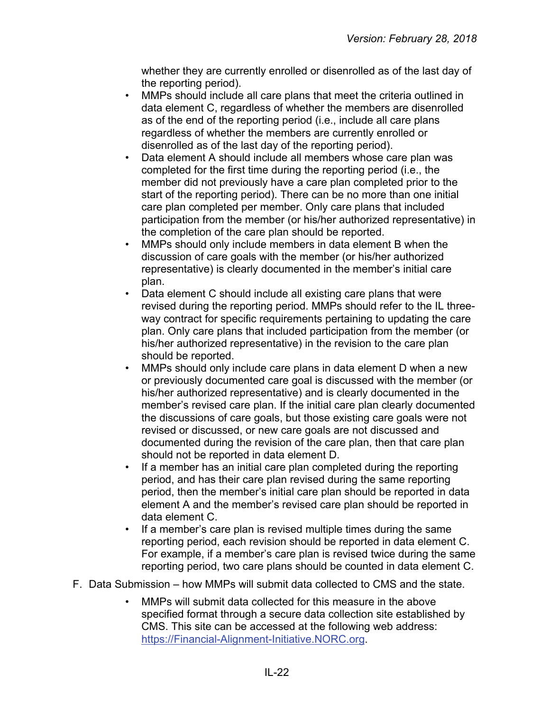whether they are currently enrolled or disenrolled as of the last day of the reporting period).

- MMPs should include all care plans that meet the criteria outlined in data element C, regardless of whether the members are disenrolled as of the end of the reporting period (i.e., include all care plans regardless of whether the members are currently enrolled or disenrolled as of the last day of the reporting period).
- Data element A should include all members whose care plan was completed for the first time during the reporting period (i.e., the member did not previously have a care plan completed prior to the start of the reporting period). There can be no more than one initial care plan completed per member. Only care plans that included participation from the member (or his/her authorized representative) in the completion of the care plan should be reported.
- MMPs should only include members in data element B when the discussion of care goals with the member (or his/her authorized representative) is clearly documented in the member's initial care plan.
- Data element C should include all existing care plans that were revised during the reporting period. MMPs should refer to the IL threeway contract for specific requirements pertaining to updating the care plan. Only care plans that included participation from the member (or his/her authorized representative) in the revision to the care plan should be reported.
- MMPs should only include care plans in data element D when a new or previously documented care goal is discussed with the member (or his/her authorized representative) and is clearly documented in the member's revised care plan. If the initial care plan clearly documented the discussions of care goals, but those existing care goals were not revised or discussed, or new care goals are not discussed and documented during the revision of the care plan, then that care plan should not be reported in data element D.
- If a member has an initial care plan completed during the reporting period, and has their care plan revised during the same reporting period, then the member's initial care plan should be reported in data element A and the member's revised care plan should be reported in data element C.
- If a member's care plan is revised multiple times during the same reporting period, each revision should be reported in data element C. For example, if a member's care plan is revised twice during the same reporting period, two care plans should be counted in data element C.
- F. Data Submission how MMPs will submit data collected to CMS and the state.
	- MMPs will submit data collected for this measure in the above specified format through a secure data collection site established by CMS. This site can be accessed at the following web address: [https://Financial-Alignment-Initiative.NORC.org.](https://financial-alignment-initiative.norc.org/)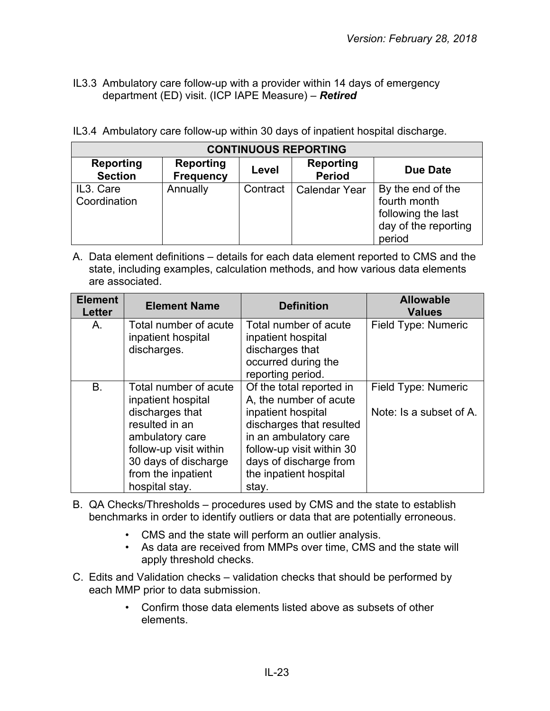IL3.3 Ambulatory care follow-up with a provider within 14 days of emergency department (ED) visit. (ICP IAPE Measure) – *Retired*

|  | IL3.4 Ambulatory care follow-up within 30 days of inpatient hospital discharge. |  |  |  |
|--|---------------------------------------------------------------------------------|--|--|--|
|  |                                                                                 |  |  |  |

| <b>CONTINUOUS REPORTING</b>        |                                      |          |                                   |                                                                                           |  |
|------------------------------------|--------------------------------------|----------|-----------------------------------|-------------------------------------------------------------------------------------------|--|
| <b>Reporting</b><br><b>Section</b> | <b>Reporting</b><br><b>Frequency</b> | Level    | <b>Reporting</b><br><b>Period</b> | <b>Due Date</b>                                                                           |  |
| IL3. Care<br>Coordination          | Annually                             | Contract | Calendar Year                     | By the end of the<br>fourth month<br>following the last<br>day of the reporting<br>period |  |

| <b>Element</b><br><b>Letter</b> | <b>Element Name</b>                                                                                                          | <b>Definition</b>                                                                                                                                        | <b>Allowable</b><br><b>Values</b> |
|---------------------------------|------------------------------------------------------------------------------------------------------------------------------|----------------------------------------------------------------------------------------------------------------------------------------------------------|-----------------------------------|
| Α.                              | Total number of acute<br>inpatient hospital                                                                                  | Total number of acute<br>inpatient hospital                                                                                                              | Field Type: Numeric               |
|                                 | discharges.                                                                                                                  | discharges that<br>occurred during the<br>reporting period.                                                                                              |                                   |
| В.                              | Total number of acute<br>inpatient hospital                                                                                  | Of the total reported in<br>A, the number of acute                                                                                                       | Field Type: Numeric               |
|                                 | discharges that<br>resulted in an<br>ambulatory care<br>follow-up visit within<br>30 days of discharge<br>from the inpatient | inpatient hospital<br>discharges that resulted<br>in an ambulatory care<br>follow-up visit within 30<br>days of discharge from<br>the inpatient hospital | Note: Is a subset of A.           |
|                                 | hospital stay.                                                                                                               | stay.                                                                                                                                                    |                                   |

- B. QA Checks/Thresholds procedures used by CMS and the state to establish benchmarks in order to identify outliers or data that are potentially erroneous.
	- CMS and the state will perform an outlier analysis.
	- As data are received from MMPs over time, CMS and the state will apply threshold checks.
- C. Edits and Validation checks validation checks that should be performed by each MMP prior to data submission.
	- Confirm those data elements listed above as subsets of other elements.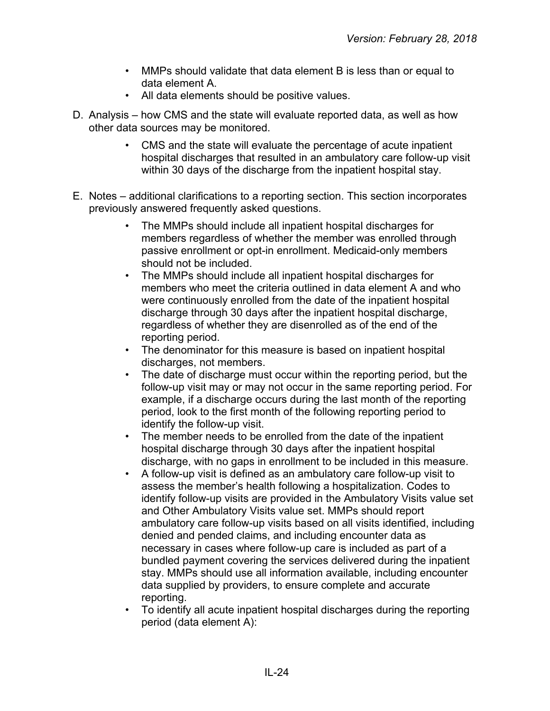- MMPs should validate that data element B is less than or equal to data element A.
- All data elements should be positive values.
- D. Analysis how CMS and the state will evaluate reported data, as well as how other data sources may be monitored.
	- CMS and the state will evaluate the percentage of acute inpatient hospital discharges that resulted in an ambulatory care follow-up visit within 30 days of the discharge from the inpatient hospital stay.
- E. Notes additional clarifications to a reporting section. This section incorporates previously answered frequently asked questions.
	- The MMPs should include all inpatient hospital discharges for members regardless of whether the member was enrolled through passive enrollment or opt-in enrollment. Medicaid-only members should not be included.
	- The MMPs should include all inpatient hospital discharges for members who meet the criteria outlined in data element A and who were continuously enrolled from the date of the inpatient hospital discharge through 30 days after the inpatient hospital discharge, regardless of whether they are disenrolled as of the end of the reporting period.
	- The denominator for this measure is based on inpatient hospital discharges, not members.
	- The date of discharge must occur within the reporting period, but the follow-up visit may or may not occur in the same reporting period. For example, if a discharge occurs during the last month of the reporting period, look to the first month of the following reporting period to identify the follow-up visit.
	- The member needs to be enrolled from the date of the inpatient hospital discharge through 30 days after the inpatient hospital discharge, with no gaps in enrollment to be included in this measure.
	- A follow-up visit is defined as an ambulatory care follow-up visit to assess the member's health following a hospitalization. Codes to identify follow-up visits are provided in the Ambulatory Visits value set and Other Ambulatory Visits value set. MMPs should report ambulatory care follow-up visits based on all visits identified, including denied and pended claims, and including encounter data as necessary in cases where follow-up care is included as part of a bundled payment covering the services delivered during the inpatient stay. MMPs should use all information available, including encounter data supplied by providers, to ensure complete and accurate reporting.
	- To identify all acute inpatient hospital discharges during the reporting period (data element A):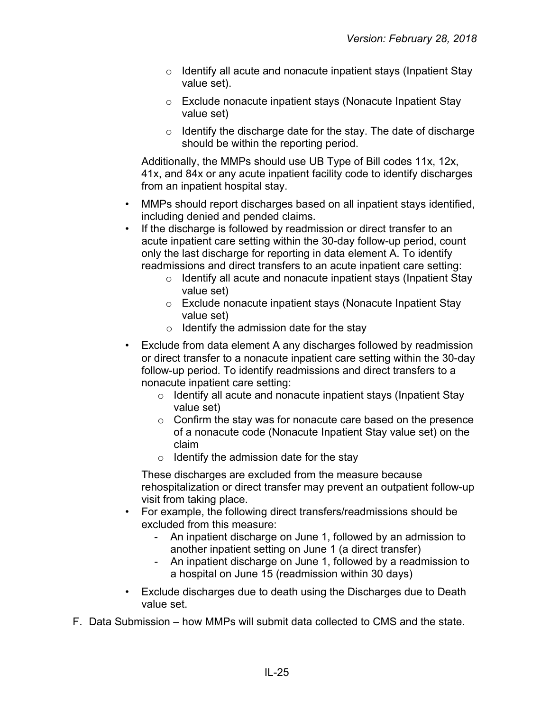- o Identify all acute and nonacute inpatient stays (Inpatient Stay value set).
- o Exclude nonacute inpatient stays (Nonacute Inpatient Stay value set)
- $\circ$  Identify the discharge date for the stay. The date of discharge should be within the reporting period.

Additionally, the MMPs should use UB Type of Bill codes 11x, 12x, 41x, and 84x or any acute inpatient facility code to identify discharges from an inpatient hospital stay.

- MMPs should report discharges based on all inpatient stays identified, including denied and pended claims.
- If the discharge is followed by readmission or direct transfer to an acute inpatient care setting within the 30-day follow-up period, count only the last discharge for reporting in data element A. To identify readmissions and direct transfers to an acute inpatient care setting:
	- o Identify all acute and nonacute inpatient stays (Inpatient Stay value set)
	- o Exclude nonacute inpatient stays (Nonacute Inpatient Stay value set)
	- $\circ$  Identify the admission date for the stay
- Exclude from data element A any discharges followed by readmission or direct transfer to a nonacute inpatient care setting within the 30-day follow-up period. To identify readmissions and direct transfers to a nonacute inpatient care setting:
	- o Identify all acute and nonacute inpatient stays (Inpatient Stay value set)
	- $\circ$  Confirm the stay was for nonacute care based on the presence of a nonacute code (Nonacute Inpatient Stay value set) on the claim
	- $\circ$  Identify the admission date for the stay

These discharges are excluded from the measure because rehospitalization or direct transfer may prevent an outpatient follow-up visit from taking place.

- For example, the following direct transfers/readmissions should be excluded from this measure:
	- An inpatient discharge on June 1, followed by an admission to another inpatient setting on June 1 (a direct transfer)
	- An inpatient discharge on June 1, followed by a readmission to a hospital on June 15 (readmission within 30 days)
- Exclude discharges due to death using the Discharges due to Death value set.
- F. Data Submission how MMPs will submit data collected to CMS and the state.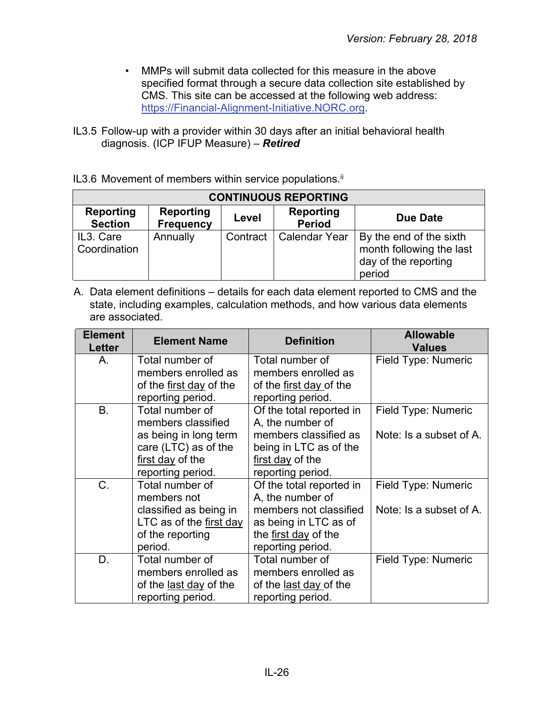- MMPs will submit data collected for this measure in the above specified format through a secure data collection site established by CMS. This site can be accessed at the following web address: [https://Financial-Alignment-Initiative.NORC.org.](https://financial-alignment-initiative.norc.org/)
- IL3.5 Follow-up with a provider within 30 days after an initial behavioral health diagnosis. (ICP IFUP Measure) – *Retired*
- IL3.6 Movement of members within service populations.<sup>ii</sup>

| <b>CONTINUOUS REPORTING</b>        |                                      |          |                            |                                                                                       |  |  |
|------------------------------------|--------------------------------------|----------|----------------------------|---------------------------------------------------------------------------------------|--|--|
| <b>Reporting</b><br><b>Section</b> | <b>Reporting</b><br><b>Frequency</b> | Level    | Reporting<br><b>Period</b> | Due Date                                                                              |  |  |
| IL3. Care<br>Coordination          | Annually                             | Contract | <b>Calendar Year</b>       | By the end of the sixth<br>month following the last<br>day of the reporting<br>period |  |  |

| <b>Element</b><br>Letter | <b>Element Name</b>     | <b>Definition</b>        | <b>Allowable</b><br><b>Values</b> |
|--------------------------|-------------------------|--------------------------|-----------------------------------|
| Α.                       | Total number of         | Total number of          | Field Type: Numeric               |
|                          | members enrolled as     | members enrolled as      |                                   |
|                          | of the first day of the | of the first day of the  |                                   |
|                          | reporting period.       | reporting period.        |                                   |
| B.                       | Total number of         | Of the total reported in | Field Type: Numeric               |
|                          | members classified      | A, the number of         |                                   |
|                          | as being in long term   | members classified as    | Note: Is a subset of A.           |
|                          | care (LTC) as of the    | being in LTC as of the   |                                   |
|                          | first day of the        | first day of the         |                                   |
|                          | reporting period.       | reporting period.        |                                   |
| C.                       | Total number of         | Of the total reported in | Field Type: Numeric               |
|                          | members not             | A, the number of         |                                   |
|                          | classified as being in  | members not classified   | Note: Is a subset of A.           |
|                          | LTC as of the first day | as being in LTC as of    |                                   |
|                          | of the reporting        | the first day of the     |                                   |
|                          | period.                 | reporting period.        |                                   |
| D.                       | Total number of         | Total number of          | Field Type: Numeric               |
|                          | members enrolled as     | members enrolled as      |                                   |
|                          | of the last day of the  | of the last day of the   |                                   |
|                          | reporting period.       | reporting period.        |                                   |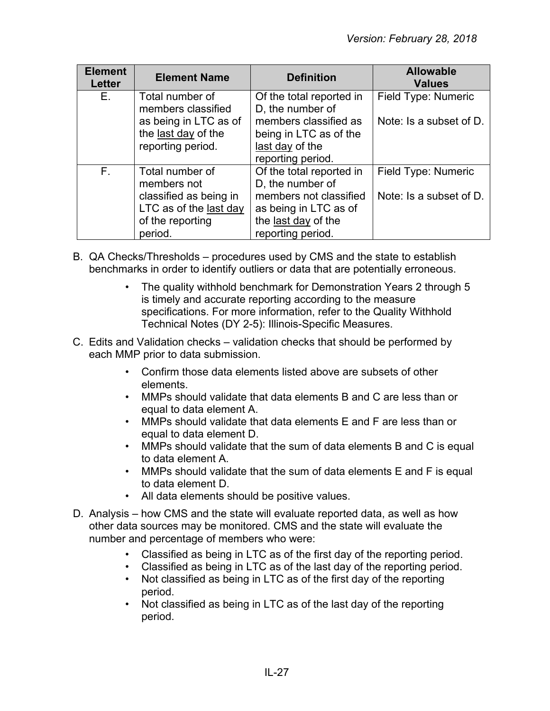| <b>Element</b><br><b>Letter</b> | <b>Element Name</b>                                                                                               | <b>Definition</b>                                                                                                                           | <b>Allowable</b><br><b>Values</b>              |
|---------------------------------|-------------------------------------------------------------------------------------------------------------------|---------------------------------------------------------------------------------------------------------------------------------------------|------------------------------------------------|
| E.                              | Total number of<br>members classified                                                                             | Of the total reported in<br>D, the number of                                                                                                | Field Type: Numeric                            |
|                                 | as being in LTC as of<br>the last day of the<br>reporting period.                                                 | members classified as<br>being in LTC as of the<br>last day of the<br>reporting period.                                                     | Note: Is a subset of D.                        |
| $F_{\perp}$                     | Total number of<br>members not<br>classified as being in<br>LTC as of the last day<br>of the reporting<br>period. | Of the total reported in<br>D, the number of<br>members not classified<br>as being in LTC as of<br>the last day of the<br>reporting period. | Field Type: Numeric<br>Note: Is a subset of D. |

- B. QA Checks/Thresholds procedures used by CMS and the state to establish benchmarks in order to identify outliers or data that are potentially erroneous.
	- The quality withhold benchmark for Demonstration Years 2 through 5 is timely and accurate reporting according to the measure specifications. For more information, refer to the Quality Withhold Technical Notes (DY 2-5): Illinois-Specific Measures.
- C. Edits and Validation checks validation checks that should be performed by each MMP prior to data submission.
	- Confirm those data elements listed above are subsets of other elements.
	- MMPs should validate that data elements B and C are less than or equal to data element A.
	- MMPs should validate that data elements E and F are less than or equal to data element D.
	- MMPs should validate that the sum of data elements B and C is equal to data element A.
	- MMPs should validate that the sum of data elements E and F is equal to data element D.
	- All data elements should be positive values.
- D. Analysis how CMS and the state will evaluate reported data, as well as how other data sources may be monitored. CMS and the state will evaluate the number and percentage of members who were:
	- Classified as being in LTC as of the first day of the reporting period.
	- Classified as being in LTC as of the last day of the reporting period.
	- Not classified as being in LTC as of the first day of the reporting period.
	- Not classified as being in LTC as of the last day of the reporting period.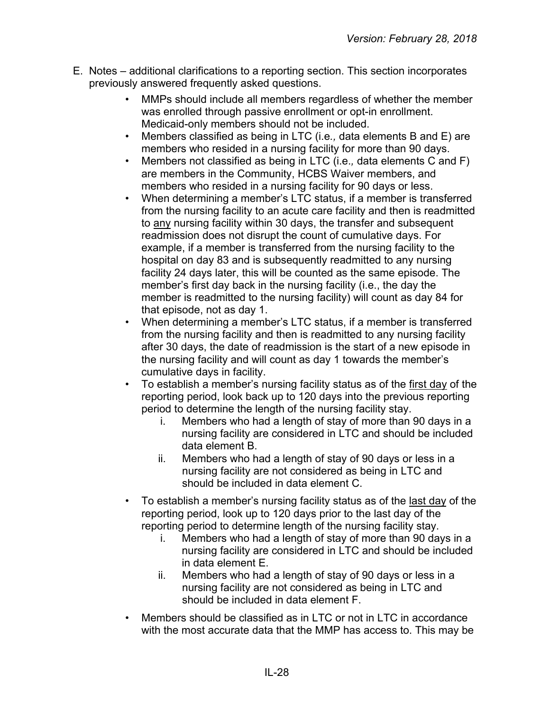- E. Notes additional clarifications to a reporting section. This section incorporates previously answered frequently asked questions.
	- MMPs should include all members regardless of whether the member was enrolled through passive enrollment or opt-in enrollment. Medicaid-only members should not be included.
	- Members classified as being in LTC (i.e*.,* data elements B and E) are members who resided in a nursing facility for more than 90 days.
	- Members not classified as being in LTC (i.e.*,* data elements C and F) are members in the Community, HCBS Waiver members, and members who resided in a nursing facility for 90 days or less.
	- When determining a member's LTC status, if a member is transferred from the nursing facility to an acute care facility and then is readmitted to any nursing facility within 30 days, the transfer and subsequent readmission does not disrupt the count of cumulative days. For example, if a member is transferred from the nursing facility to the hospital on day 83 and is subsequently readmitted to any nursing facility 24 days later, this will be counted as the same episode. The member's first day back in the nursing facility (i.e., the day the member is readmitted to the nursing facility) will count as day 84 for that episode, not as day 1.
	- When determining a member's LTC status, if a member is transferred from the nursing facility and then is readmitted to any nursing facility after 30 days, the date of readmission is the start of a new episode in the nursing facility and will count as day 1 towards the member's cumulative days in facility.
	- To establish a member's nursing facility status as of the first day of the reporting period, look back up to 120 days into the previous reporting period to determine the length of the nursing facility stay.
		- i. Members who had a length of stay of more than 90 days in a nursing facility are considered in LTC and should be included data element B.
		- ii. Members who had a length of stay of 90 days or less in a nursing facility are not considered as being in LTC and should be included in data element C.
	- To establish a member's nursing facility status as of the last day of the reporting period, look up to 120 days prior to the last day of the reporting period to determine length of the nursing facility stay.
		- i. Members who had a length of stay of more than 90 days in a nursing facility are considered in LTC and should be included in data element E.
		- ii. Members who had a length of stay of 90 days or less in a nursing facility are not considered as being in LTC and should be included in data element F.
	- Members should be classified as in LTC or not in LTC in accordance with the most accurate data that the MMP has access to. This may be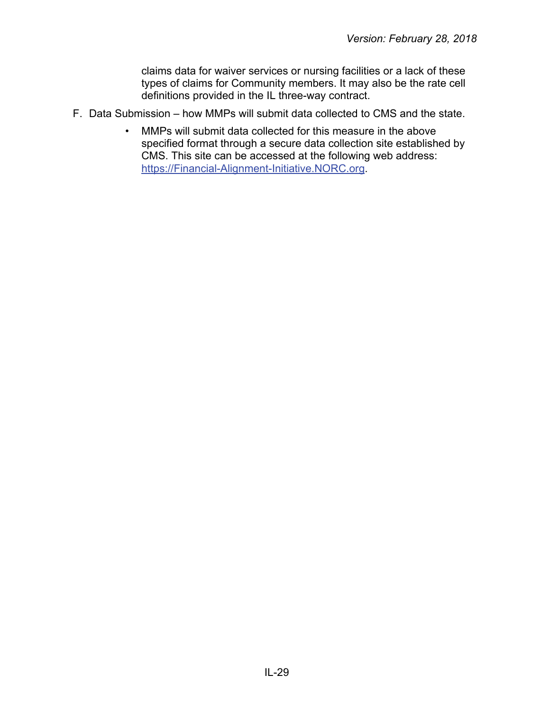claims data for waiver services or nursing facilities or a lack of these types of claims for Community members. It may also be the rate cell definitions provided in the IL three-way contract.

- F. Data Submission how MMPs will submit data collected to CMS and the state.
	- MMPs will submit data collected for this measure in the above specified format through a secure data collection site established by CMS. This site can be accessed at the following web address: [https://Financial-Alignment-Initiative.NORC.org.](https://financial-alignment-initiative.norc.org/)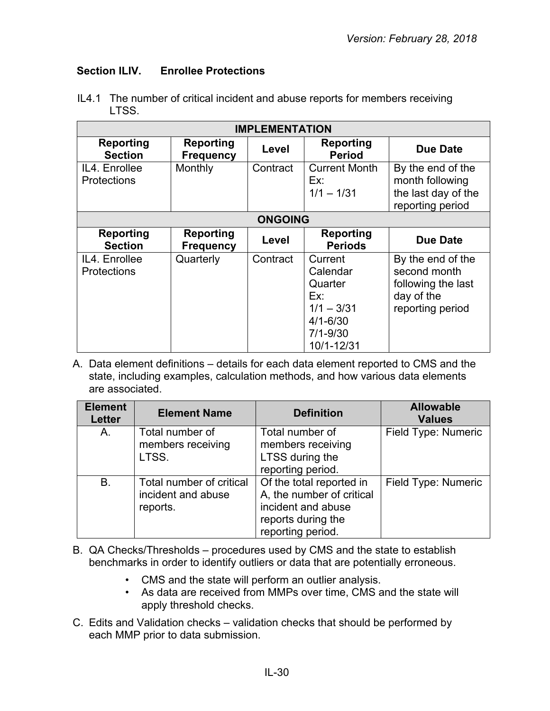#### <span id="page-29-0"></span>**Section ILIV.****Enrollee Protections**

| <b>IMPLEMENTATION</b>               |                                      |                |                                                                                                     |                                                                                           |  |
|-------------------------------------|--------------------------------------|----------------|-----------------------------------------------------------------------------------------------------|-------------------------------------------------------------------------------------------|--|
| <b>Reporting</b><br><b>Section</b>  | <b>Reporting</b><br><b>Frequency</b> | Level          | <b>Reporting</b><br><b>Period</b>                                                                   | <b>Due Date</b>                                                                           |  |
| IL4. Enrollee<br><b>Protections</b> | Monthly                              | Contract       | <b>Current Month</b><br>Ex:<br>$1/1 - 1/31$                                                         | By the end of the<br>month following<br>the last day of the<br>reporting period           |  |
|                                     |                                      | <b>ONGOING</b> |                                                                                                     |                                                                                           |  |
| <b>Reporting</b><br><b>Section</b>  | <b>Reporting</b><br><b>Frequency</b> | Level          | <b>Reporting</b><br><b>Periods</b>                                                                  | <b>Due Date</b>                                                                           |  |
| IL4. Enrollee<br><b>Protections</b> | Quarterly                            | Contract       | Current<br>Calendar<br>Quarter<br>Ex:<br>$1/1 - 3/31$<br>$4/1 - 6/30$<br>$7/1 - 9/30$<br>10/1-12/31 | By the end of the<br>second month<br>following the last<br>day of the<br>reporting period |  |

IL4.1 The number of critical incident and abuse reports for members receiving LTSS.

| <b>Element</b><br><b>Letter</b> | <b>Element Name</b>                                        | <b>Definition</b>                                                                                                      | <b>Allowable</b><br><b>Values</b> |
|---------------------------------|------------------------------------------------------------|------------------------------------------------------------------------------------------------------------------------|-----------------------------------|
| A.                              | Total number of<br>members receiving<br>LTSS.              | Total number of<br>members receiving<br>LTSS during the<br>reporting period.                                           | Field Type: Numeric               |
| B.                              | Total number of critical<br>incident and abuse<br>reports. | Of the total reported in<br>A, the number of critical<br>incident and abuse<br>reports during the<br>reporting period. | Field Type: Numeric               |

- B. QA Checks/Thresholds procedures used by CMS and the state to establish benchmarks in order to identify outliers or data that are potentially erroneous.
	- CMS and the state will perform an outlier analysis.
	- As data are received from MMPs over time, CMS and the state will apply threshold checks.
- C. Edits and Validation checks validation checks that should be performed by each MMP prior to data submission.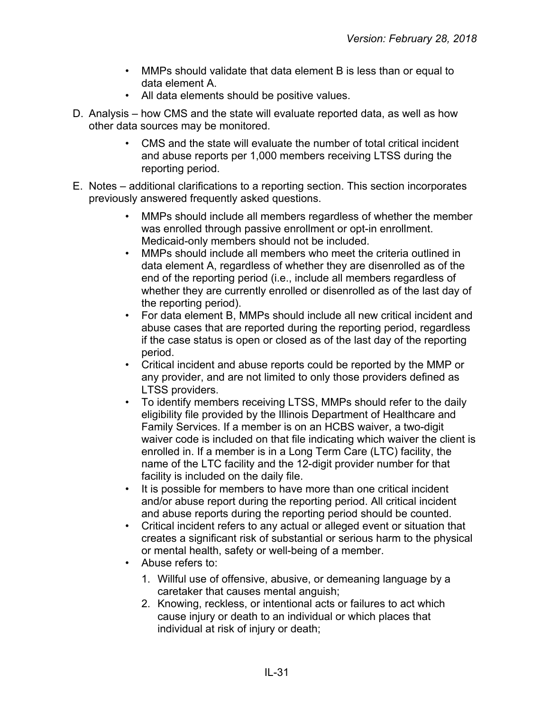- MMPs should validate that data element B is less than or equal to data element A.
- All data elements should be positive values.
- D. Analysis how CMS and the state will evaluate reported data, as well as how other data sources may be monitored.
	- CMS and the state will evaluate the number of total critical incident and abuse reports per 1,000 members receiving LTSS during the reporting period.
- E. Notes additional clarifications to a reporting section. This section incorporates previously answered frequently asked questions.
	- MMPs should include all members regardless of whether the member was enrolled through passive enrollment or opt-in enrollment. Medicaid-only members should not be included.
	- MMPs should include all members who meet the criteria outlined in data element A, regardless of whether they are disenrolled as of the end of the reporting period (i.e., include all members regardless of whether they are currently enrolled or disenrolled as of the last day of the reporting period).
	- For data element B, MMPs should include all new critical incident and abuse cases that are reported during the reporting period, regardless if the case status is open or closed as of the last day of the reporting period.
	- Critical incident and abuse reports could be reported by the MMP or any provider, and are not limited to only those providers defined as LTSS providers.
	- To identify members receiving LTSS, MMPs should refer to the daily eligibility file provided by the Illinois Department of Healthcare and Family Services. If a member is on an HCBS waiver, a two-digit waiver code is included on that file indicating which waiver the client is enrolled in. If a member is in a Long Term Care (LTC) facility, the name of the LTC facility and the 12-digit provider number for that facility is included on the daily file.
	- It is possible for members to have more than one critical incident and/or abuse report during the reporting period. All critical incident and abuse reports during the reporting period should be counted.
	- Critical incident refers to any actual or alleged event or situation that creates a significant risk of substantial or serious harm to the physical or mental health, safety or well-being of a member.
	- Abuse refers to:
		- 1. Willful use of offensive, abusive, or demeaning language by a caretaker that causes mental anguish;
		- 2. Knowing, reckless, or intentional acts or failures to act which cause injury or death to an individual or which places that individual at risk of injury or death;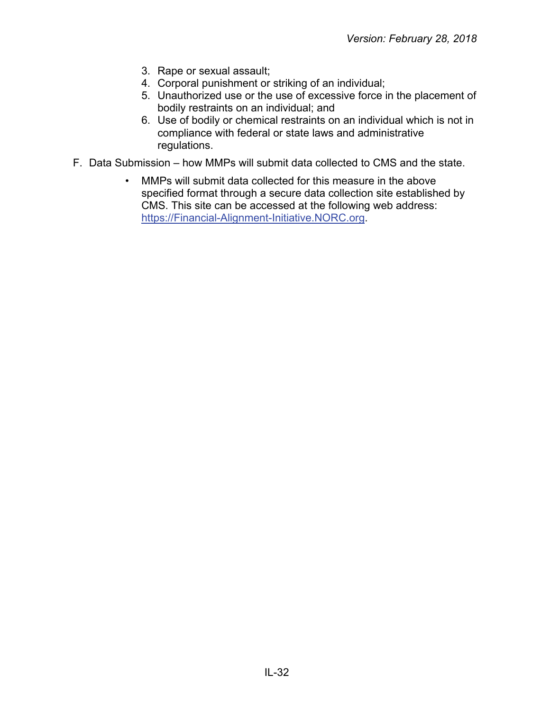- 3. Rape or sexual assault;
- 4. Corporal punishment or striking of an individual;
- 5. Unauthorized use or the use of excessive force in the placement of bodily restraints on an individual; and
- 6. Use of bodily or chemical restraints on an individual which is not in compliance with federal or state laws and administrative regulations.
- F. Data Submission how MMPs will submit data collected to CMS and the state.
	- MMPs will submit data collected for this measure in the above specified format through a secure data collection site established by CMS. This site can be accessed at the following web address: [https://Financial-Alignment-Initiative.NORC.org.](https://financial-alignment-initiative.norc.org/)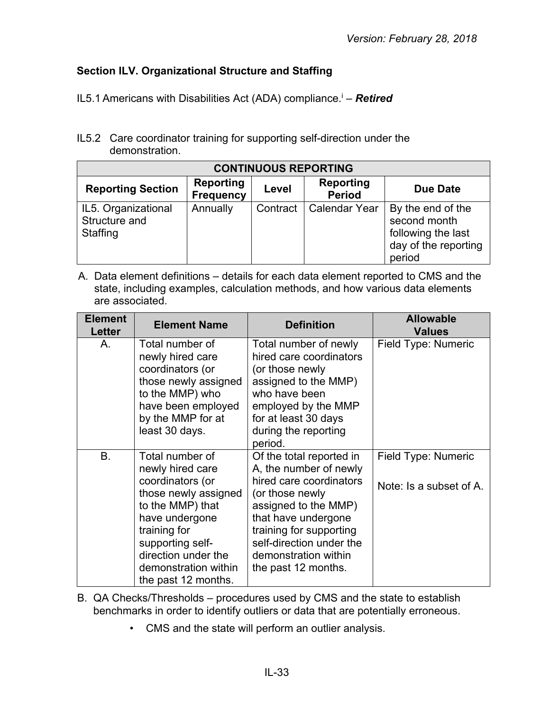## <span id="page-32-0"></span>**Section ILV. Organizational Structure and Staffing**

- IL5.1 Americans with Disabilities Act (ADA) compliance.<sup>i</sup> **Retired**
- IL5.2 Care coordinator training for supporting self-direction under the demonstration.

| <b>CONTINUOUS REPORTING</b>                      |                                      |          |                                   |                                                                                           |  |
|--------------------------------------------------|--------------------------------------|----------|-----------------------------------|-------------------------------------------------------------------------------------------|--|
| <b>Reporting Section</b>                         | <b>Reporting</b><br><b>Frequency</b> | Level    | <b>Reporting</b><br><b>Period</b> | Due Date                                                                                  |  |
| IL5. Organizational<br>Structure and<br>Staffing | Annually                             | Contract | <b>Calendar Year</b>              | By the end of the<br>second month<br>following the last<br>day of the reporting<br>period |  |

| <b>Element</b><br>Letter | <b>Element Name</b>                                                                                                                                                                                                             | <b>Definition</b>                                                                                                                                                                                                                                     | <b>Allowable</b><br><b>Values</b>              |
|--------------------------|---------------------------------------------------------------------------------------------------------------------------------------------------------------------------------------------------------------------------------|-------------------------------------------------------------------------------------------------------------------------------------------------------------------------------------------------------------------------------------------------------|------------------------------------------------|
| Α.                       | Total number of<br>newly hired care<br>coordinators (or<br>those newly assigned<br>to the MMP) who<br>have been employed<br>by the MMP for at<br>least 30 days.                                                                 | Total number of newly<br>hired care coordinators<br>(or those newly<br>assigned to the MMP)<br>who have been<br>employed by the MMP<br>for at least 30 days<br>during the reporting<br>period.                                                        | Field Type: Numeric                            |
| <b>B.</b>                | Total number of<br>newly hired care<br>coordinators (or<br>those newly assigned<br>to the MMP) that<br>have undergone<br>training for<br>supporting self-<br>direction under the<br>demonstration within<br>the past 12 months. | Of the total reported in<br>A, the number of newly<br>hired care coordinators<br>(or those newly<br>assigned to the MMP)<br>that have undergone<br>training for supporting<br>self-direction under the<br>demonstration within<br>the past 12 months. | Field Type: Numeric<br>Note: Is a subset of A. |

- B. QA Checks/Thresholds procedures used by CMS and the state to establish benchmarks in order to identify outliers or data that are potentially erroneous.
	- CMS and the state will perform an outlier analysis.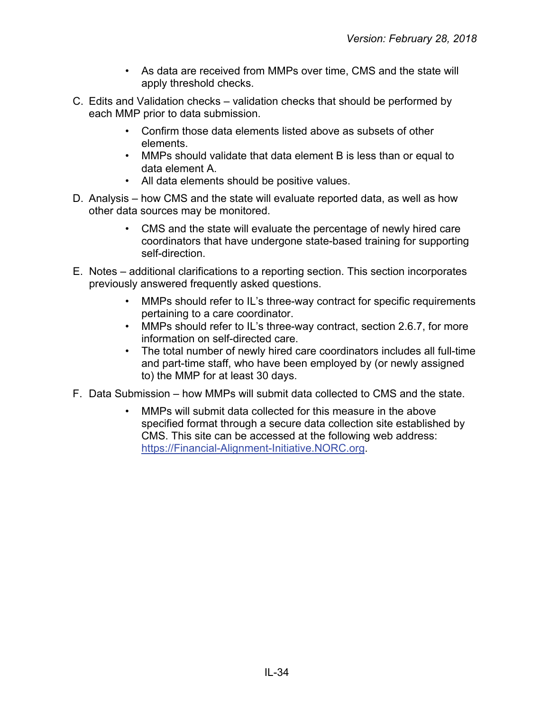- As data are received from MMPs over time, CMS and the state will apply threshold checks.
- C. Edits and Validation checks validation checks that should be performed by each MMP prior to data submission.
	- Confirm those data elements listed above as subsets of other elements.
	- MMPs should validate that data element B is less than or equal to data element A.
	- All data elements should be positive values.
- D. Analysis how CMS and the state will evaluate reported data, as well as how other data sources may be monitored.
	- CMS and the state will evaluate the percentage of newly hired care coordinators that have undergone state-based training for supporting self-direction.
- E. Notes additional clarifications to a reporting section. This section incorporates previously answered frequently asked questions.
	- MMPs should refer to IL's three-way contract for specific requirements pertaining to a care coordinator.
	- MMPs should refer to IL's three-way contract, section 2.6.7, for more information on self-directed care.
	- The total number of newly hired care coordinators includes all full-time and part-time staff, who have been employed by (or newly assigned to) the MMP for at least 30 days.
- F. Data Submission how MMPs will submit data collected to CMS and the state.
	- MMPs will submit data collected for this measure in the above specified format through a secure data collection site established by CMS. This site can be accessed at the following web address: [https://Financial-Alignment-Initiative.NORC.org.](https://financial-alignment-initiative.norc.org/)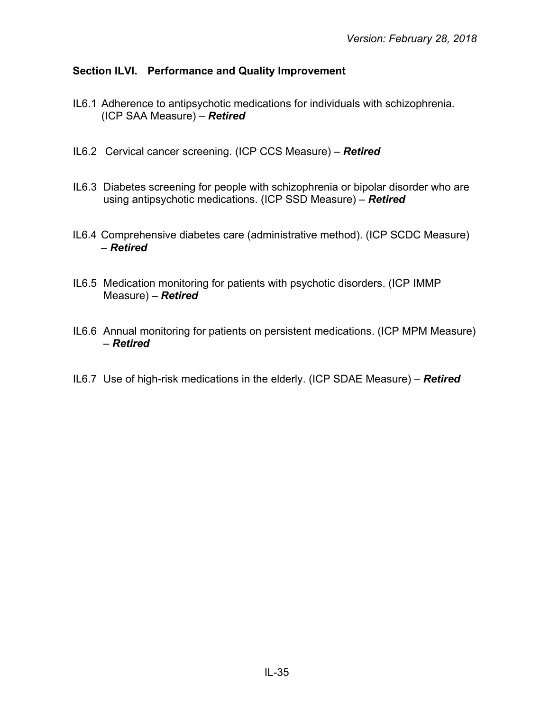## <span id="page-34-0"></span>**Section ILVI. Performance and Quality Improvement**

- IL6.1 Adherence to antipsychotic medications for individuals with schizophrenia. (ICP SAA Measure) – *Retired*
- IL6.2 Cervical cancer screening. (ICP CCS Measure) *Retired*
- IL6.3 Diabetes screening for people with schizophrenia or bipolar disorder who are using antipsychotic medications. (ICP SSD Measure) – *Retired*
- IL6.4 Comprehensive diabetes care (administrative method). (ICP SCDC Measure) – *Retired*
- IL6.5 Medication monitoring for patients with psychotic disorders. (ICP IMMP Measure) – *Retired*
- IL6.6 Annual monitoring for patients on persistent medications. (ICP MPM Measure) – *Retired*
- IL6.7 Use of high-risk medications in the elderly. (ICP SDAE Measure) *Retired*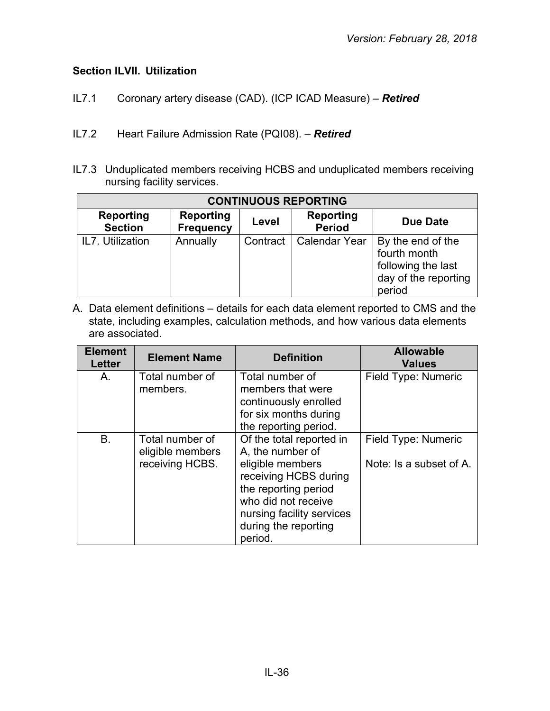## <span id="page-35-0"></span>**Section ILVII. Utilization**

- IL7.1 Coronary artery disease (CAD). (ICP ICAD Measure) *Retired*
- IL7.2 Heart Failure Admission Rate (PQI08). *Retired*
- IL7.3 Unduplicated members receiving HCBS and unduplicated members receiving nursing facility services.

| <b>CONTINUOUS REPORTING</b>        |                                      |          |                            |                                                                                           |  |
|------------------------------------|--------------------------------------|----------|----------------------------|-------------------------------------------------------------------------------------------|--|
| <b>Reporting</b><br><b>Section</b> | <b>Reporting</b><br><b>Frequency</b> | Level    | Reporting<br><b>Period</b> | Due Date                                                                                  |  |
| IL7. Utilization                   | Annually                             | Contract | <b>Calendar Year</b>       | By the end of the<br>fourth month<br>following the last<br>day of the reporting<br>period |  |

| <b>Element</b><br><b>Letter</b> | <b>Element Name</b>                                    | <b>Definition</b>                                                                                                                                                                                        | <b>Allowable</b><br><b>Values</b>              |
|---------------------------------|--------------------------------------------------------|----------------------------------------------------------------------------------------------------------------------------------------------------------------------------------------------------------|------------------------------------------------|
| A.                              | Total number of<br>members.                            | Total number of<br>members that were<br>continuously enrolled<br>for six months during<br>the reporting period.                                                                                          | Field Type: Numeric                            |
| <b>B.</b>                       | Total number of<br>eligible members<br>receiving HCBS. | Of the total reported in<br>A, the number of<br>eligible members<br>receiving HCBS during<br>the reporting period<br>who did not receive<br>nursing facility services<br>during the reporting<br>period. | Field Type: Numeric<br>Note: Is a subset of A. |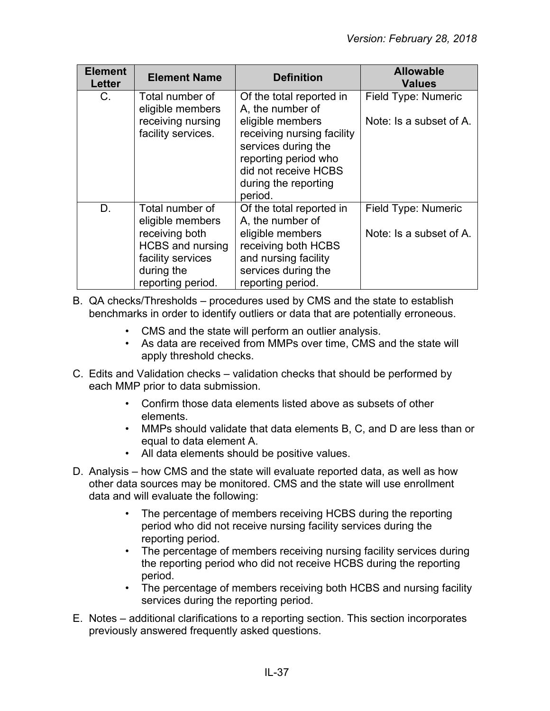| <b>Element</b><br><b>Letter</b> | <b>Element Name</b>                                      | <b>Definition</b>                                                                                                                    | <b>Allowable</b><br><b>Values</b>              |
|---------------------------------|----------------------------------------------------------|--------------------------------------------------------------------------------------------------------------------------------------|------------------------------------------------|
| C.                              | Total number of<br>eligible members<br>receiving nursing | Of the total reported in<br>A, the number of<br>eligible members                                                                     | Field Type: Numeric<br>Note: Is a subset of A. |
|                                 | facility services.                                       | receiving nursing facility<br>services during the<br>reporting period who<br>did not receive HCBS<br>during the reporting<br>period. |                                                |
| D.                              | Total number of<br>eligible members                      | Of the total reported in<br>A, the number of                                                                                         | Field Type: Numeric                            |
|                                 | receiving both                                           | eligible members                                                                                                                     | Note: Is a subset of A.                        |
|                                 | <b>HCBS</b> and nursing<br>facility services             | receiving both HCBS<br>and nursing facility                                                                                          |                                                |
|                                 | during the                                               | services during the                                                                                                                  |                                                |
|                                 | reporting period.                                        | reporting period.                                                                                                                    |                                                |

- B. QA checks/Thresholds procedures used by CMS and the state to establish benchmarks in order to identify outliers or data that are potentially erroneous.
	- CMS and the state will perform an outlier analysis.
	- As data are received from MMPs over time, CMS and the state will apply threshold checks.
- C. Edits and Validation checks validation checks that should be performed by each MMP prior to data submission.
	- Confirm those data elements listed above as subsets of other elements.
	- MMPs should validate that data elements B, C, and D are less than or equal to data element A.
	- All data elements should be positive values.
- D. Analysis how CMS and the state will evaluate reported data, as well as how other data sources may be monitored. CMS and the state will use enrollment data and will evaluate the following:
	- The percentage of members receiving HCBS during the reporting period who did not receive nursing facility services during the reporting period.
	- The percentage of members receiving nursing facility services during the reporting period who did not receive HCBS during the reporting period.
	- The percentage of members receiving both HCBS and nursing facility services during the reporting period.
- E. Notes additional clarifications to a reporting section. This section incorporates previously answered frequently asked questions.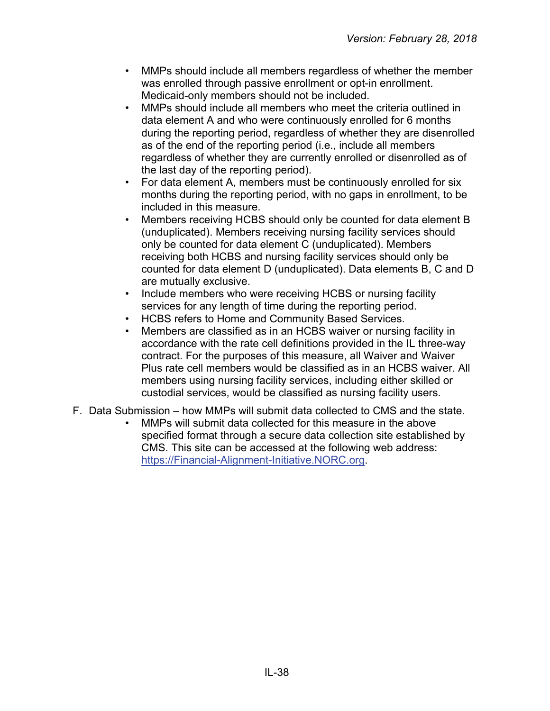- MMPs should include all members regardless of whether the member was enrolled through passive enrollment or opt-in enrollment. Medicaid-only members should not be included.
- MMPs should include all members who meet the criteria outlined in data element A and who were continuously enrolled for 6 months during the reporting period, regardless of whether they are disenrolled as of the end of the reporting period (i.e., include all members regardless of whether they are currently enrolled or disenrolled as of the last day of the reporting period).
- For data element A, members must be continuously enrolled for six months during the reporting period, with no gaps in enrollment, to be included in this measure.
- Members receiving HCBS should only be counted for data element B (unduplicated). Members receiving nursing facility services should only be counted for data element C (unduplicated). Members receiving both HCBS and nursing facility services should only be counted for data element D (unduplicated). Data elements B, C and D are mutually exclusive.
- Include members who were receiving HCBS or nursing facility services for any length of time during the reporting period.
- HCBS refers to Home and Community Based Services.
- Members are classified as in an HCBS waiver or nursing facility in accordance with the rate cell definitions provided in the IL three-way contract. For the purposes of this measure, all Waiver and Waiver Plus rate cell members would be classified as in an HCBS waiver. All members using nursing facility services, including either skilled or custodial services, would be classified as nursing facility users.
- F. Data Submission how MMPs will submit data collected to CMS and the state.
	- MMPs will submit data collected for this measure in the above specified format through a secure data collection site established by CMS. This site can be accessed at the following web address: [https://Financial-Alignment-Initiative.NORC.org.](https://financial-alignment-initiative.norc.org/)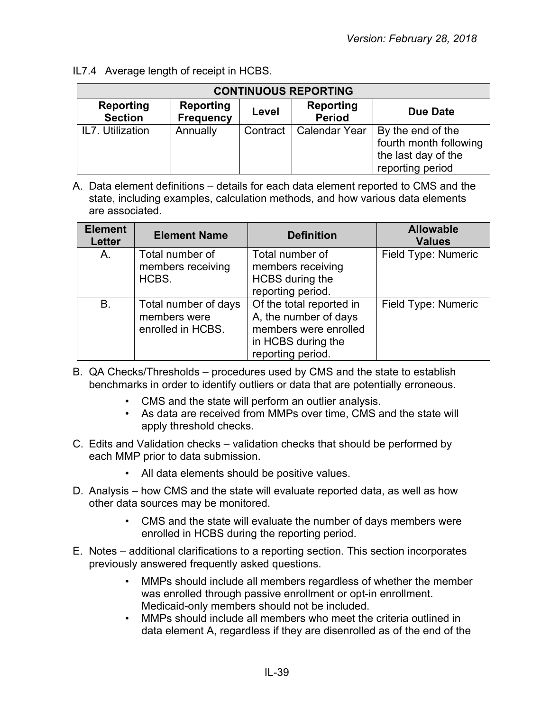IL7.4 Average length of receipt in HCBS.

| <b>CONTINUOUS REPORTING</b> |                                      |          |                                   |                                                                                        |  |  |
|-----------------------------|--------------------------------------|----------|-----------------------------------|----------------------------------------------------------------------------------------|--|--|
| Reporting<br><b>Section</b> | <b>Reporting</b><br><b>Frequency</b> | Level    | <b>Reporting</b><br><b>Period</b> | Due Date                                                                               |  |  |
| IL7. Utilization            | Annually                             | Contract | <b>Calendar Year</b>              | By the end of the<br>fourth month following<br>the last day of the<br>reporting period |  |  |

| <b>Element</b><br><b>Letter</b> | <b>Element Name</b>                                       | <b>Definition</b>                                                                                                     | <b>Allowable</b><br><b>Values</b> |
|---------------------------------|-----------------------------------------------------------|-----------------------------------------------------------------------------------------------------------------------|-----------------------------------|
| A.                              | Total number of<br>members receiving<br>HCBS.             | Total number of<br>members receiving<br>HCBS during the<br>reporting period.                                          | Field Type: Numeric               |
| <b>B.</b>                       | Total number of days<br>members were<br>enrolled in HCBS. | Of the total reported in<br>A, the number of days<br>members were enrolled<br>in HCBS during the<br>reporting period. | Field Type: Numeric               |

- B. QA Checks/Thresholds procedures used by CMS and the state to establish benchmarks in order to identify outliers or data that are potentially erroneous.
	- CMS and the state will perform an outlier analysis.
	- As data are received from MMPs over time, CMS and the state will apply threshold checks.
- C. Edits and Validation checks validation checks that should be performed by each MMP prior to data submission.
	- All data elements should be positive values.
- D. Analysis how CMS and the state will evaluate reported data, as well as how other data sources may be monitored.
	- CMS and the state will evaluate the number of days members were enrolled in HCBS during the reporting period.
- E. Notes additional clarifications to a reporting section. This section incorporates previously answered frequently asked questions.
	- MMPs should include all members regardless of whether the member was enrolled through passive enrollment or opt-in enrollment. Medicaid-only members should not be included.
	- MMPs should include all members who meet the criteria outlined in data element A, regardless if they are disenrolled as of the end of the